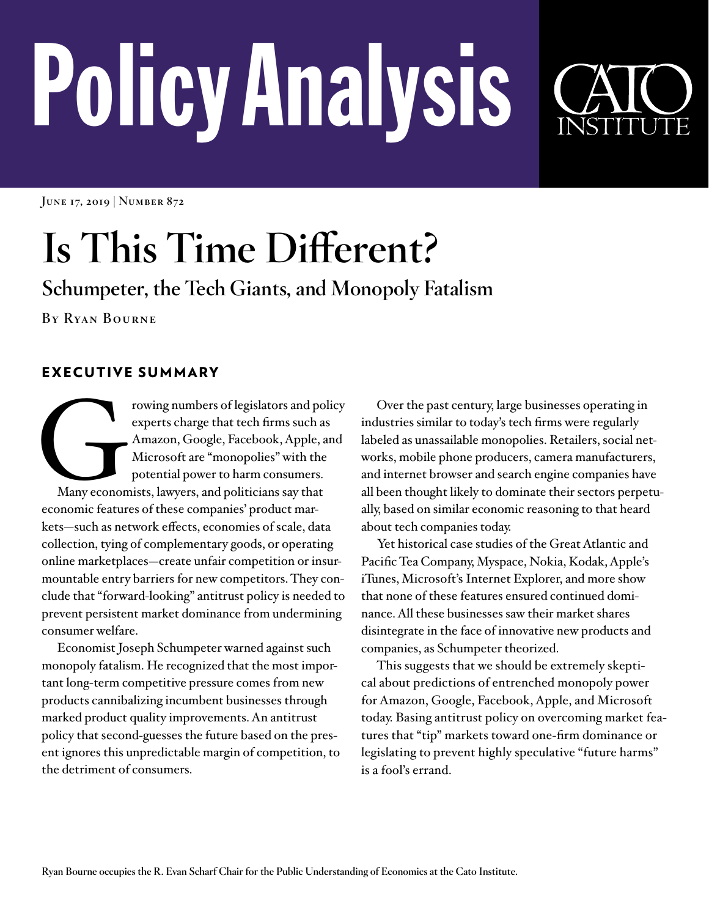# PolicyAnalysis



**June 17, 2019 | Number 872**

# **Is This Time Different?**

**Schumpeter, the Tech Giants, and Monopoly Fatalism**

**By Ryan Bourne**

# EXECUTIVE SUMMARY

Franchise Schwing numbers of legislators and policy<br>experts charge that tech firms such as<br>Amazon, Google, Facebook, Apple, and<br>Microsoft are "monopolies" with the<br>potential power to harm consumers.<br>Many economists, lawyer experts charge that tech firms such as Amazon, Google, Facebook, Apple, and Microsoft are "monopolies" with the potential power to harm consumers. Many economists, lawyers, and politicians say that economic features of these companies' product markets—such as network effects, economies of scale, data collection, tying of complementary goods, or operating online marketplaces—create unfair competition or insurmountable entry barriers for new competitors. They conclude that "forward-looking" antitrust policy is needed to prevent persistent market dominance from undermining consumer welfare.

Economist Joseph Schumpeter warned against such monopoly fatalism. He recognized that the most important long-term competitive pressure comes from new products cannibalizing incumbent businesses through marked product quality improvements. An antitrust policy that second-guesses the future based on the present ignores this unpredictable margin of competition, to the detriment of consumers.

Over the past century, large businesses operating in industries similar to today's tech firms were regularly labeled as unassailable monopolies. Retailers, social networks, mobile phone producers, camera manufacturers, and internet browser and search engine companies have all been thought likely to dominate their sectors perpetually, based on similar economic reasoning to that heard about tech companies today.

Yet historical case studies of the Great Atlantic and Pacific Tea Company, Myspace, Nokia, Kodak, Apple's iTunes, Microsoft's Internet Explorer, and more show that none of these features ensured continued dominance. All these businesses saw their market shares disintegrate in the face of innovative new products and companies, as Schumpeter theorized.

This suggests that we should be extremely skeptical about predictions of entrenched monopoly power for Amazon, Google, Facebook, Apple, and Microsoft today. Basing antitrust policy on overcoming market features that "tip" markets toward one-firm dominance or legislating to prevent highly speculative "future harms" is a fool's errand.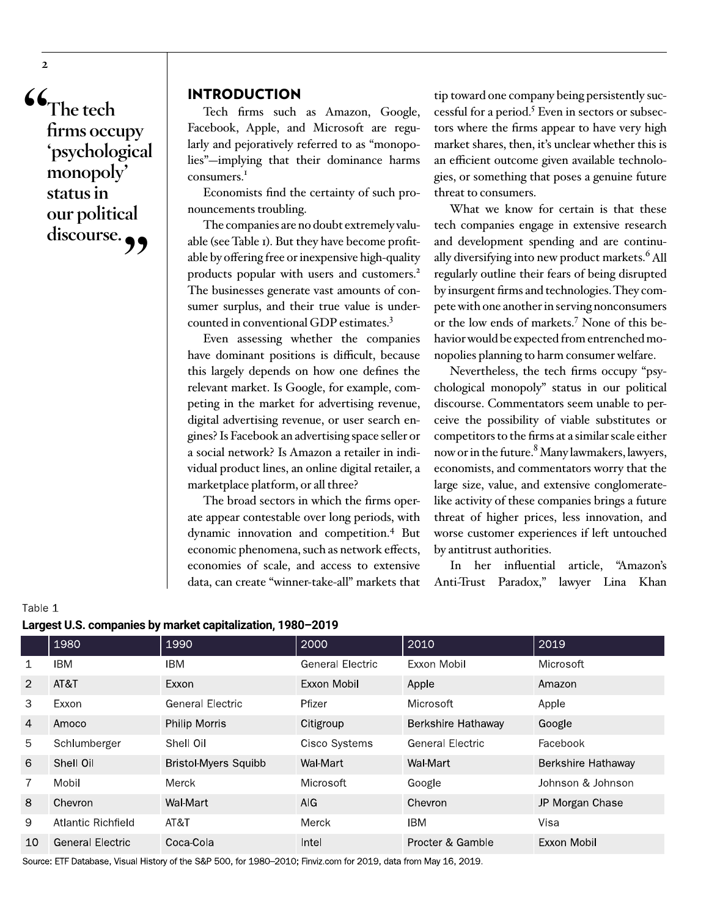**"The tech firms occupy 'psychological monopoly' status in our political**  discourse.

# INTRODUCTION

Tech firms such as Amazon, Google, Facebook, Apple, and Microsoft are regularly and pejoratively referred to as "monopolies"—implying that their dominance harms consumers.<sup>1</sup>

Economists find the certainty of such pronouncements troubling.

The companies are no doubt extremely valuable (see Table 1). But they have become profitable by offering free or inexpensive high-quality products popular with users and customers.<sup>2</sup> The businesses generate vast amounts of consumer surplus, and their true value is undercounted in conventional GDP estimates.3

Even assessing whether the companies have dominant positions is difficult, because this largely depends on how one defines the relevant market. Is Google, for example, competing in the market for advertising revenue, digital advertising revenue, or user search engines? Is Facebook an advertising space seller or a social network? Is Amazon a retailer in individual product lines, an online digital retailer, a marketplace platform, or all three?

The broad sectors in which the firms operate appear contestable over long periods, with dynamic innovation and competition.4 But economic phenomena, such as network effects, economies of scale, and access to extensive data, can create "winner-take-all" markets that

tip toward one company being persistently successful for a period.<sup>5</sup> Even in sectors or subsectors where the firms appear to have very high market shares, then, it's unclear whether this is an efficient outcome given available technologies, or something that poses a genuine future threat to consumers.

What we know for certain is that these tech companies engage in extensive research and development spending and are continually diversifying into new product markets.<sup>6</sup> All regularly outline their fears of being disrupted by insurgent firms and technologies. They compete with one another in serving nonconsumers or the low ends of markets.7 None of this behavior would be expected from entrenched monopolies planning to harm consumer welfare.

Nevertheless, the tech firms occupy "psychological monopoly" status in our political discourse. Commentators seem unable to perceive the possibility of viable substitutes or competitors to the firms at a similar scale either now or in the future. $^8$  Many lawmakers, lawyers, economists, and commentators worry that the large size, value, and extensive conglomeratelike activity of these companies brings a future threat of higher prices, less innovation, and worse customer experiences if left untouched by antitrust authorities.

In her influential article, "Amazon's Anti-Trust Paradox," lawyer Lina Khan

| Largest 0.3. Companies by market capitalization, 1960 2019 |                         |                             |                         |                         |                    |
|------------------------------------------------------------|-------------------------|-----------------------------|-------------------------|-------------------------|--------------------|
|                                                            | 1980                    | 1990                        | 2000                    | 2010                    | 2019               |
| $\mathbf{1}$                                               | <b>IBM</b>              | IBM                         | <b>General Electric</b> | Exxon Mobil             | Microsoft          |
| 2                                                          | AT&T                    | Exxon                       | Exxon Mobil             | Apple                   | Amazon             |
| 3                                                          | Exxon                   | <b>General Electric</b>     | Pfizer                  | Microsoft               | Apple              |
| $\overline{4}$                                             | Amoco                   | <b>Philip Morris</b>        | Citigroup               | Berkshire Hathaway      | Google             |
| 5                                                          | Schlumberger            | Shell Oil                   | Cisco Systems           | <b>General Electric</b> | Facebook           |
| 6                                                          | Shell Oil               | <b>Bristol-Myers Squibb</b> | Wal-Mart                | Wal-Mart                | Berkshire Hathaway |
| $\overline{7}$                                             | Mobil                   | Merck                       | Microsoft               | Google                  | Johnson & Johnson  |
| 8                                                          | Chevron                 | Wal-Mart                    | AIG.                    | Chevron                 | JP Morgan Chase    |
| 9                                                          | Atlantic Richfield      | AT&T                        | Merck                   | IBM                     | Visa               |
| 10                                                         | <b>General Electric</b> | Coca-Cola                   | Intel                   | Procter & Gamble        | Exxon Mobil        |

**Largest U.S. companies by market capitalization, 1980–2019**

Source: ETF Database, Visual History of the S&P 500, for 1980–2010; Finviz.com for 2019, data from May 16, 2019.

Table 1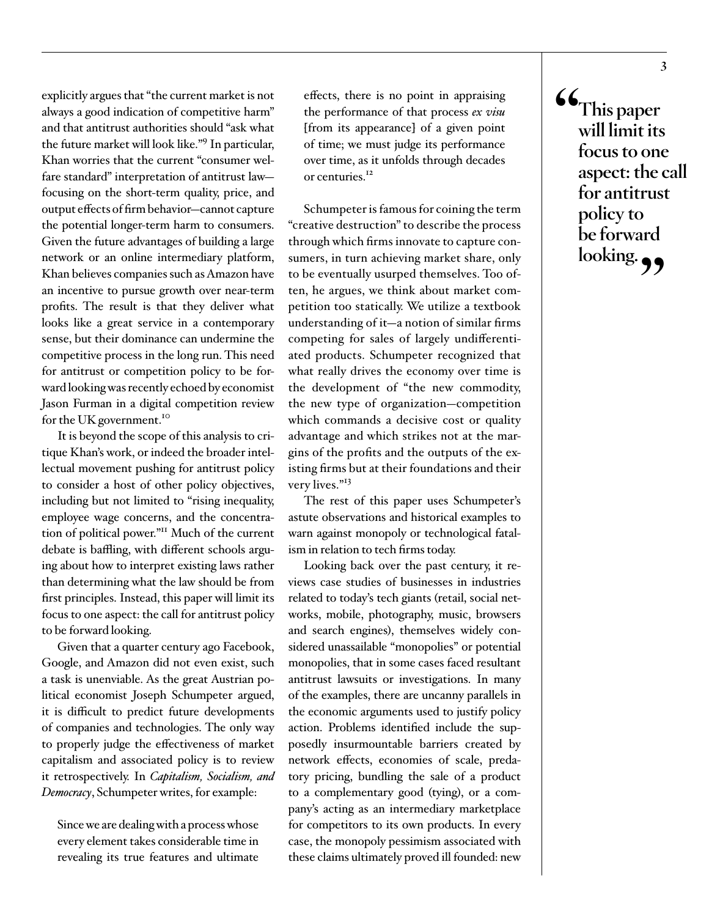explicitly argues that "the current market is not always a good indication of competitive harm" and that antitrust authorities should "ask what the future market will look like."9 In particular, Khan worries that the current "consumer welfare standard" interpretation of antitrust law focusing on the short-term quality, price, and output effects of firm behavior—cannot capture the potential longer-term harm to consumers. Given the future advantages of building a large network or an online intermediary platform, Khan believes companies such as Amazon have an incentive to pursue growth over near-term profits. The result is that they deliver what looks like a great service in a contemporary sense, but their dominance can undermine the competitive process in the long run. This need for antitrust or competition policy to be forward looking was recently echoed by economist Jason Furman in a digital competition review for the UK government.<sup>10</sup>

It is beyond the scope of this analysis to critique Khan's work, or indeed the broader intellectual movement pushing for antitrust policy to consider a host of other policy objectives, including but not limited to "rising inequality, employee wage concerns, and the concentration of political power."11 Much of the current debate is baffling, with different schools arguing about how to interpret existing laws rather than determining what the law should be from first principles. Instead, this paper will limit its focus to one aspect: the call for antitrust policy to be forward looking.

Given that a quarter century ago Facebook, Google, and Amazon did not even exist, such a task is unenviable. As the great Austrian political economist Joseph Schumpeter argued, it is difficult to predict future developments of companies and technologies. The only way to properly judge the effectiveness of market capitalism and associated policy is to review it retrospectively. In *Capitalism, Socialism, and Democracy*, Schumpeter writes, for example:

Since we are dealing with a process whose every element takes considerable time in revealing its true features and ultimate effects, there is no point in appraising the performance of that process *ex visu* [from its appearance] of a given point of time; we must judge its performance over time, as it unfolds through decades or centuries.<sup>12</sup>

Schumpeter is famous for coining the term "creative destruction" to describe the process through which firms innovate to capture consumers, in turn achieving market share, only to be eventually usurped themselves. Too often, he argues, we think about market competition too statically. We utilize a textbook understanding of it—a notion of similar firms competing for sales of largely undifferentiated products. Schumpeter recognized that what really drives the economy over time is the development of "the new commodity, the new type of organization—competition which commands a decisive cost or quality advantage and which strikes not at the margins of the profits and the outputs of the existing firms but at their foundations and their very lives."<sup>13</sup>

The rest of this paper uses Schumpeter's astute observations and historical examples to warn against monopoly or technological fatalism in relation to tech firms today.

Looking back over the past century, it reviews case studies of businesses in industries related to today's tech giants (retail, social networks, mobile, photography, music, browsers and search engines), themselves widely considered unassailable "monopolies" or potential monopolies, that in some cases faced resultant antitrust lawsuits or investigations. In many of the examples, there are uncanny parallels in the economic arguments used to justify policy action. Problems identified include the supposedly insurmountable barriers created by network effects, economies of scale, predatory pricing, bundling the sale of a product to a complementary good (tying), or a company's acting as an intermediary marketplace for competitors to its own products. In every case, the monopoly pessimism associated with these claims ultimately proved ill founded: new

**"This paper will limit its focus to one aspect: the call for antitrust policy to be forward**  looking.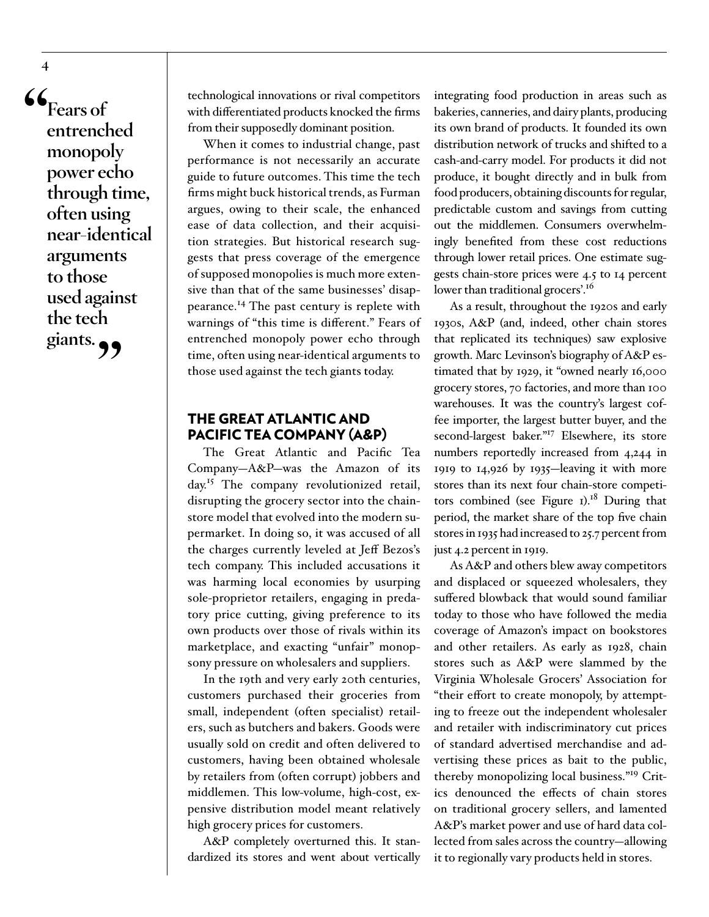**"Fears of entrenched monopoly power echo through time, often using near-identical arguments to those used against the tech**  giants.

**4**

technological innovations or rival competitors with differentiated products knocked the firms from their supposedly dominant position.

When it comes to industrial change, past performance is not necessarily an accurate guide to future outcomes. This time the tech firms might buck historical trends, as Furman argues, owing to their scale, the enhanced ease of data collection, and their acquisition strategies. But historical research suggests that press coverage of the emergence of supposed monopolies is much more extensive than that of the same businesses' disappearance.14 The past century is replete with warnings of "this time is different." Fears of entrenched monopoly power echo through time, often using near-identical arguments to those used against the tech giants today.

# THE GREAT ATLANTIC AND PACIFIC TEA COMPANY (A&P)

The Great Atlantic and Pacific Tea Company—A&P—was the Amazon of its day.15 The company revolutionized retail, disrupting the grocery sector into the chainstore model that evolved into the modern supermarket. In doing so, it was accused of all the charges currently leveled at Jeff Bezos's tech company. This included accusations it was harming local economies by usurping sole-proprietor retailers, engaging in predatory price cutting, giving preference to its own products over those of rivals within its marketplace, and exacting "unfair" monopsony pressure on wholesalers and suppliers.

In the 19th and very early 20th centuries, customers purchased their groceries from small, independent (often specialist) retailers, such as butchers and bakers. Goods were usually sold on credit and often delivered to customers, having been obtained wholesale by retailers from (often corrupt) jobbers and middlemen. This low-volume, high-cost, expensive distribution model meant relatively high grocery prices for customers.

A&P completely overturned this. It standardized its stores and went about vertically integrating food production in areas such as bakeries, canneries, and dairy plants, producing its own brand of products. It founded its own distribution network of trucks and shifted to a cash-and-carry model. For products it did not produce, it bought directly and in bulk from food producers, obtaining discounts for regular, predictable custom and savings from cutting out the middlemen. Consumers overwhelmingly benefited from these cost reductions through lower retail prices. One estimate suggests chain-store prices were 4.5 to 14 percent lower than traditional grocers'.<sup>16</sup>

As a result, throughout the 1920s and early 1930s, A&P (and, indeed, other chain stores that replicated its techniques) saw explosive growth. Marc Levinson's biography of A&P estimated that by 1929, it "owned nearly 16,000 grocery stores, 70 factories, and more than 100 warehouses. It was the country's largest coffee importer, the largest butter buyer, and the second-largest baker."<sup>17</sup> Elsewhere, its store numbers reportedly increased from 4,244 in 1919 to 14,926 by 1935—leaving it with more stores than its next four chain-store competitors combined (see Figure  $I$ ).<sup>18</sup> During that period, the market share of the top five chain stores in 1935 had increased to 25.7 percent from just 4.2 percent in 1919.

As A&P and others blew away competitors and displaced or squeezed wholesalers, they suffered blowback that would sound familiar today to those who have followed the media coverage of Amazon's impact on bookstores and other retailers. As early as 1928, chain stores such as A&P were slammed by the Virginia Wholesale Grocers' Association for "their effort to create monopoly, by attempting to freeze out the independent wholesaler and retailer with indiscriminatory cut prices of standard advertised merchandise and advertising these prices as bait to the public, thereby monopolizing local business."19 Critics denounced the effects of chain stores on traditional grocery sellers, and lamented A&P's market power and use of hard data collected from sales across the country—allowing it to regionally vary products held in stores.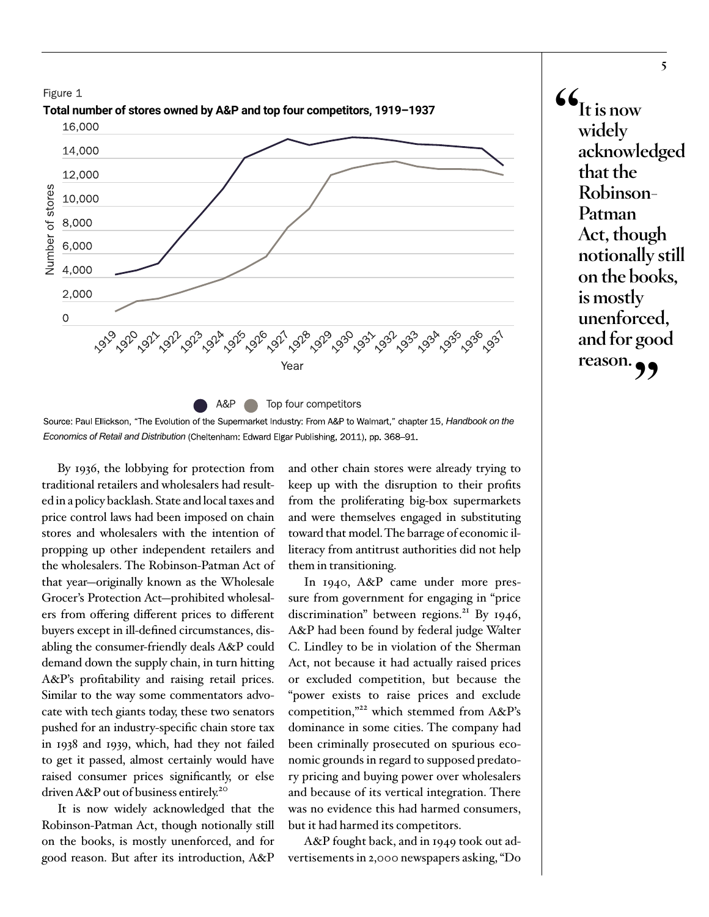

 $\mathbf{G}_{\text{It is now}}$ **widely acknowledged that the Robinson-Patman Act, though notionally still on the books, is mostly** 

**unenforced, and for good**  reason.

Source: Paul Ellickson, "The Evolution of the Supermarket Industry: From A&P to Walmart," chapter 15, *Handbook on the Economics of Retail and Distribution* (Cheltenham: Edward Elgar Publishing, 2011), pp. 368–91.

By 1936, the lobbying for protection from traditional retailers and wholesalers had resulted in a policy backlash. State and local taxes and price control laws had been imposed on chain stores and wholesalers with the intention of propping up other independent retailers and the wholesalers. The Robinson-Patman Act of that year—originally known as the Wholesale Grocer's Protection Act—prohibited wholesalers from offering different prices to different buyers except in ill-defined circumstances, disabling the consumer-friendly deals A&P could demand down the supply chain, in turn hitting A&P's profitability and raising retail prices. Similar to the way some commentators advocate with tech giants today, these two senators pushed for an industry-specific chain store tax in 1938 and 1939, which, had they not failed to get it passed, almost certainly would have raised consumer prices significantly, or else driven A&P out of business entirely.<sup>20</sup>

It is now widely acknowledged that the Robinson-Patman Act, though notionally still on the books, is mostly unenforced, and for good reason. But after its introduction, A&P

and other chain stores were already trying to keep up with the disruption to their profits from the proliferating big-box supermarkets and were themselves engaged in substituting toward that model. The barrage of economic illiteracy from antitrust authorities did not help them in transitioning.

In 1940, A&P came under more pressure from government for engaging in "price discrimination" between regions.<sup>21</sup> By 1946, A&P had been found by federal judge Walter C. Lindley to be in violation of the Sherman Act, not because it had actually raised prices or excluded competition, but because the "power exists to raise prices and exclude competition,"22 which stemmed from A&P's dominance in some cities. The company had been criminally prosecuted on spurious economic grounds in regard to supposed predatory pricing and buying power over wholesalers and because of its vertical integration. There was no evidence this had harmed consumers, but it had harmed its competitors.

A&P fought back, and in 1949 took out advertisements in 2,000 newspapers asking, "Do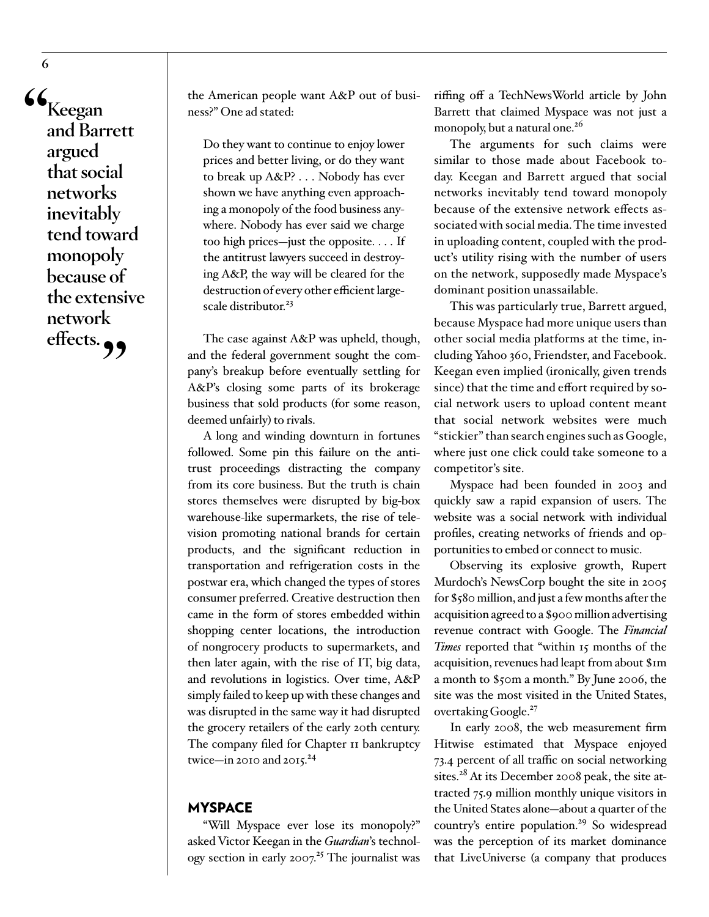**"Keegan and Barrett argued that social networks inevitably tend toward monopoly because of the extensive network**  effects.<sub>99</sub>

the American people want A&P out of business?" One ad stated:

Do they want to continue to enjoy lower prices and better living, or do they want to break up A&P? . . . Nobody has ever shown we have anything even approaching a monopoly of the food business anywhere. Nobody has ever said we charge too high prices—just the opposite. . . . If the antitrust lawyers succeed in destroying A&P, the way will be cleared for the destruction of every other efficient largescale distributor.<sup>23</sup>

The case against A&P was upheld, though, and the federal government sought the company's breakup before eventually settling for A&P's closing some parts of its brokerage business that sold products (for some reason, deemed unfairly) to rivals.

A long and winding downturn in fortunes followed. Some pin this failure on the antitrust proceedings distracting the company from its core business. But the truth is chain stores themselves were disrupted by big-box warehouse-like supermarkets, the rise of television promoting national brands for certain products, and the significant reduction in transportation and refrigeration costs in the postwar era, which changed the types of stores consumer preferred. Creative destruction then came in the form of stores embedded within shopping center locations, the introduction of nongrocery products to supermarkets, and then later again, with the rise of IT, big data, and revolutions in logistics. Over time, A&P simply failed to keep up with these changes and was disrupted in the same way it had disrupted the grocery retailers of the early 20th century. The company filed for Chapter II bankruptcy twice—in 2010 and  $2015.^{24}$ 

# MYSPACE

"Will Myspace ever lose its monopoly?" asked Victor Keegan in the *Guardian*'s technology section in early 2007.<sup>25</sup> The journalist was

riffing off a TechNewsWorld article by John Barrett that claimed Myspace was not just a monopoly, but a natural one.<sup>26</sup>

The arguments for such claims were similar to those made about Facebook today. Keegan and Barrett argued that social networks inevitably tend toward monopoly because of the extensive network effects associated with social media. The time invested in uploading content, coupled with the product's utility rising with the number of users on the network, supposedly made Myspace's dominant position unassailable.

This was particularly true, Barrett argued, because Myspace had more unique users than other social media platforms at the time, including Yahoo 360, Friendster, and Facebook. Keegan even implied (ironically, given trends since) that the time and effort required by social network users to upload content meant that social network websites were much "stickier" than search engines such as Google, where just one click could take someone to a competitor's site.

Myspace had been founded in 2003 and quickly saw a rapid expansion of users. The website was a social network with individual profiles, creating networks of friends and opportunities to embed or connect to music.

Observing its explosive growth, Rupert Murdoch's NewsCorp bought the site in 2005 for \$580 million, and just a few months after the acquisition agreed to a \$900 million advertising revenue contract with Google. The *Financial Times* reported that "within 15 months of the acquisition, revenues had leapt from about \$1m a month to \$50m a month." By June 2006, the site was the most visited in the United States, overtaking Google.<sup>27</sup>

In early 2008, the web measurement firm Hitwise estimated that Myspace enjoyed 73.4 percent of all traffic on social networking sites.<sup>28</sup> At its December 2008 peak, the site attracted 75.9 million monthly unique visitors in the United States alone—about a quarter of the country's entire population.<sup>29</sup> So widespread was the perception of its market dominance that LiveUniverse (a company that produces

**6**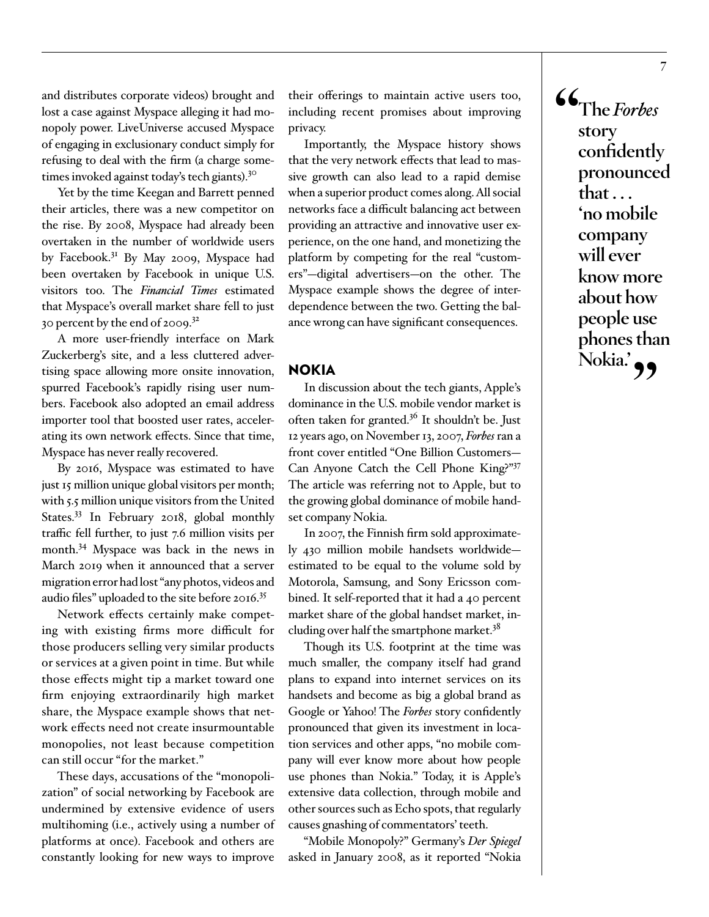and distributes corporate videos) brought and lost a case against Myspace alleging it had monopoly power. LiveUniverse accused Myspace of engaging in exclusionary conduct simply for refusing to deal with the firm (a charge sometimes invoked against today's tech giants).30

Yet by the time Keegan and Barrett penned their articles, there was a new competitor on the rise. By 2008, Myspace had already been overtaken in the number of worldwide users by Facebook.<sup>31</sup> By May 2009, Myspace had been overtaken by Facebook in unique U.S. visitors too. The *Financial Times* estimated that Myspace's overall market share fell to just 30 percent by the end of  $2009$ .<sup>32</sup>

A more user-friendly interface on Mark Zuckerberg's site, and a less cluttered advertising space allowing more onsite innovation, spurred Facebook's rapidly rising user numbers. Facebook also adopted an email address importer tool that boosted user rates, accelerating its own network effects. Since that time, Myspace has never really recovered.

By 2016, Myspace was estimated to have just 15 million unique global visitors per month; with 5.5 million unique visitors from the United States.<sup>33</sup> In February 2018, global monthly traffic fell further, to just 7.6 million visits per month.34 Myspace was back in the news in March 2019 when it announced that a server migration error had lost "any photos, videos and audio files" uploaded to the site before 2016.35

Network effects certainly make competing with existing firms more difficult for those producers selling very similar products or services at a given point in time. But while those effects might tip a market toward one firm enjoying extraordinarily high market share, the Myspace example shows that network effects need not create insurmountable monopolies, not least because competition can still occur "for the market."

These days, accusations of the "monopolization" of social networking by Facebook are undermined by extensive evidence of users multihoming (i.e., actively using a number of platforms at once). Facebook and others are constantly looking for new ways to improve

their offerings to maintain active users too, including recent promises about improving privacy.

Importantly, the Myspace history shows that the very network effects that lead to massive growth can also lead to a rapid demise when a superior product comes along. All social networks face a difficult balancing act between providing an attractive and innovative user experience, on the one hand, and monetizing the platform by competing for the real "customers"—digital advertisers—on the other. The Myspace example shows the degree of interdependence between the two. Getting the balance wrong can have significant consequences.

# NOKIA

In discussion about the tech giants, Apple's dominance in the U.S. mobile vendor market is often taken for granted.<sup>36</sup> It shouldn't be. Just 12 years ago, on November 13, 2007, *Forbes* ran a front cover entitled "One Billion Customers— Can Anyone Catch the Cell Phone King?"37 The article was referring not to Apple, but to the growing global dominance of mobile handset company Nokia.

In 2007, the Finnish firm sold approximately 430 million mobile handsets worldwide estimated to be equal to the volume sold by Motorola, Samsung, and Sony Ericsson combined. It self-reported that it had a 40 percent market share of the global handset market, including over half the smartphone market.<sup>38</sup>

Though its U.S. footprint at the time was much smaller, the company itself had grand plans to expand into internet services on its handsets and become as big a global brand as Google or Yahoo! The *Forbes* story confidently pronounced that given its investment in location services and other apps, "no mobile company will ever know more about how people use phones than Nokia." Today, it is Apple's extensive data collection, through mobile and other sources such as Echo spots, that regularly causes gnashing of commentators' teeth.

"Mobile Monopoly?" Germany's *Der Spiegel* asked in January 2008, as it reported "Nokia

**"The** *Forbes* **story confidently pronounced that . . . 'no mobile company will ever know more about how people use phones than**  Nokia.'<sup>99</sup>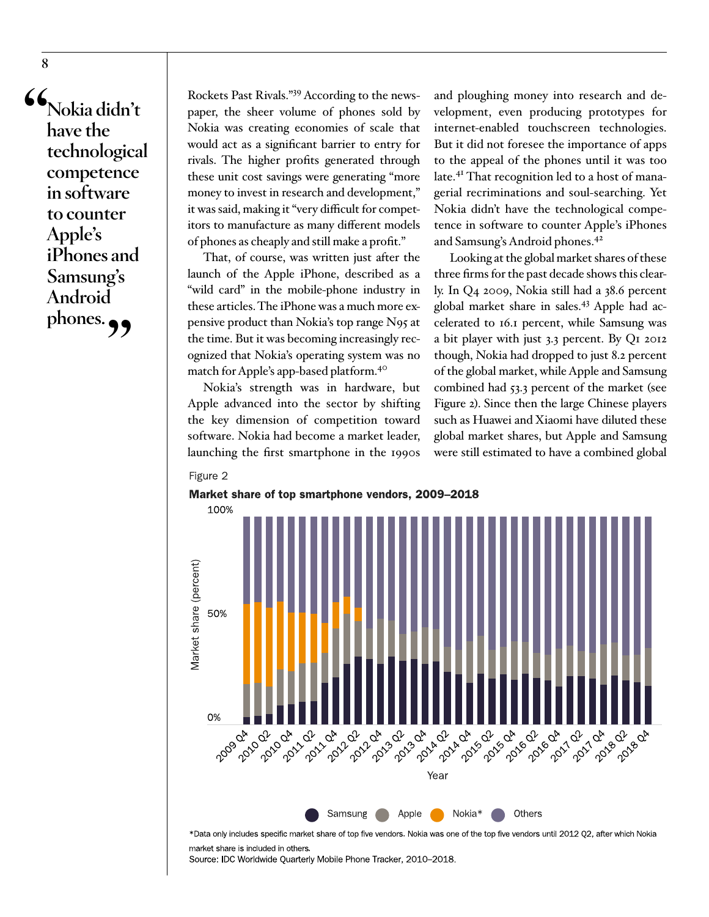**"Nokia didn't have the technological competence in software to counter Apple's iPhones and Samsung's Android**  phones.<sub>?</sub>

Rockets Past Rivals."39 According to the newspaper, the sheer volume of phones sold by Nokia was creating economies of scale that would act as a significant barrier to entry for rivals. The higher profits generated through these unit cost savings were generating "more money to invest in research and development," it was said, making it "very difficult for competitors to manufacture as many different models of phones as cheaply and still make a profit."

That, of course, was written just after the launch of the Apple iPhone, described as a "wild card" in the mobile-phone industry in these articles. The iPhone was a much more expensive product than Nokia's top range N95 at the time. But it was becoming increasingly recognized that Nokia's operating system was no match for Apple's app-based platform.40

Nokia's strength was in hardware, but Apple advanced into the sector by shifting the key dimension of competition toward software. Nokia had become a market leader, launching the first smartphone in the 1990s

and ploughing money into research and development, even producing prototypes for internet-enabled touchscreen technologies. But it did not foresee the importance of apps to the appeal of the phones until it was too late.<sup>41</sup> That recognition led to a host of managerial recriminations and soul-searching. Yet Nokia didn't have the technological competence in software to counter Apple's iPhones and Samsung's Android phones.<sup>42</sup>

Looking at the global market shares of these three firms for the past decade shows this clearly. In Q4 2009, Nokia still had a 38.6 percent global market share in sales.43 Apple had accelerated to 16.1 percent, while Samsung was a bit player with just 3.3 percent. By Q1 2012 though, Nokia had dropped to just 8.2 percent of the global market, while Apple and Samsung combined had 53.3 percent of the market (see Figure 2). Since then the large Chinese players such as Huawei and Xiaomi have diluted these global market shares, but Apple and Samsung were still estimated to have a combined global







\*Data only includes specific market share of top five vendors. Nokia was one of the top five vendors until 2012 Q2, after which Nokia market share is included in others.

Source: IDC Worldwide Quarterly Mobile Phone Tracker, 2010–2018.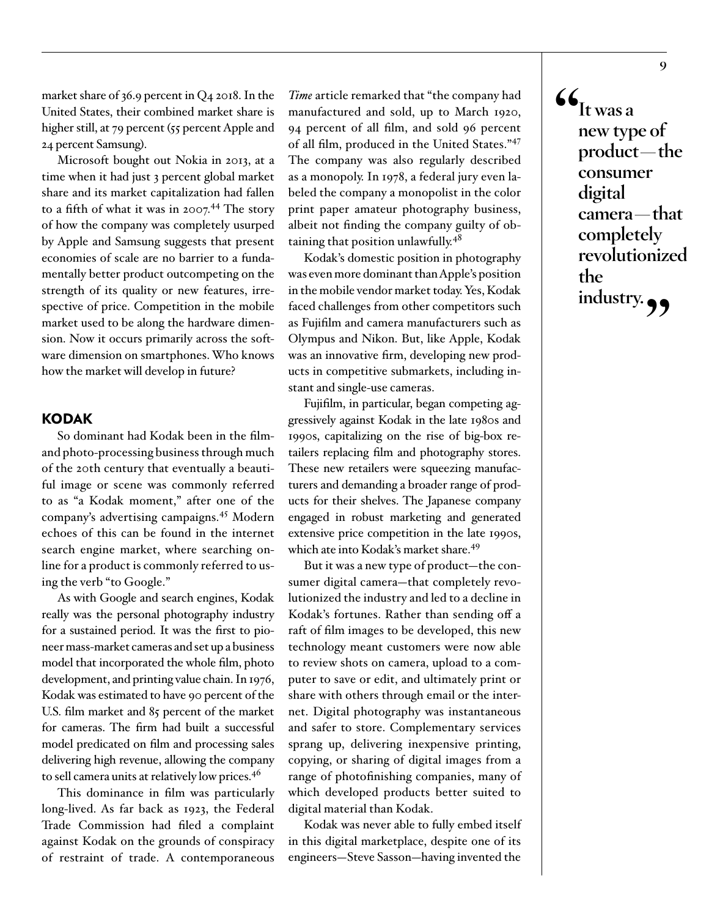market share of 36.9 percent in Q4 2018. In the United States, their combined market share is higher still, at 79 percent (55 percent Apple and 24 percent Samsung).

Microsoft bought out Nokia in 2013, at a time when it had just 3 percent global market share and its market capitalization had fallen to a fifth of what it was in 2007.<sup>44</sup> The story of how the company was completely usurped by Apple and Samsung suggests that present economies of scale are no barrier to a fundamentally better product outcompeting on the strength of its quality or new features, irrespective of price. Competition in the mobile market used to be along the hardware dimension. Now it occurs primarily across the software dimension on smartphones. Who knows how the market will develop in future?

# KODAK

So dominant had Kodak been in the filmand photo-processing business through much of the 20th century that eventually a beautiful image or scene was commonly referred to as "a Kodak moment," after one of the company's advertising campaigns.45 Modern echoes of this can be found in the internet search engine market, where searching online for a product is commonly referred to using the verb "to Google."

As with Google and search engines, Kodak really was the personal photography industry for a sustained period. It was the first to pioneer mass-market cameras and set up a business model that incorporated the whole film, photo development, and printing value chain. In 1976, Kodak was estimated to have 90 percent of the U.S. film market and 85 percent of the market for cameras. The firm had built a successful model predicated on film and processing sales delivering high revenue, allowing the company to sell camera units at relatively low prices.46

This dominance in film was particularly long-lived. As far back as 1923, the Federal Trade Commission had filed a complaint against Kodak on the grounds of conspiracy of restraint of trade. A contemporaneous

*Time* article remarked that "the company had manufactured and sold, up to March 1920, 94 percent of all film, and sold 96 percent of all film, produced in the United States."<sup>47</sup> The company was also regularly described as a monopoly. In 1978, a federal jury even labeled the company a monopolist in the color print paper amateur photography business, albeit not finding the company guilty of obtaining that position unlawfully.<sup>48</sup>

Kodak's domestic position in photography was even more dominant than Apple's position in the mobile vendor market today. Yes, Kodak faced challenges from other competitors such as Fujifilm and camera manufacturers such as Olympus and Nikon. But, like Apple, Kodak was an innovative firm, developing new products in competitive submarkets, including instant and single-use cameras.

Fujifilm, in particular, began competing aggressively against Kodak in the late 1980s and 1990s, capitalizing on the rise of big-box retailers replacing film and photography stores. These new retailers were squeezing manufacturers and demanding a broader range of products for their shelves. The Japanese company engaged in robust marketing and generated extensive price competition in the late 1990s, which ate into Kodak's market share.49

But it was a new type of product—the consumer digital camera—that completely revolutionized the industry and led to a decline in Kodak's fortunes. Rather than sending off a raft of film images to be developed, this new technology meant customers were now able to review shots on camera, upload to a computer to save or edit, and ultimately print or share with others through email or the internet. Digital photography was instantaneous and safer to store. Complementary services sprang up, delivering inexpensive printing, copying, or sharing of digital images from a range of photofinishing companies, many of which developed products better suited to digital material than Kodak.

Kodak was never able to fully embed itself in this digital marketplace, despite one of its engineers—Steve Sasson—having invented the

 $\mathbf{G}_{\text{It was a}}$ **new type of product—the consumer digital camera—that completely revolutionized the industry."**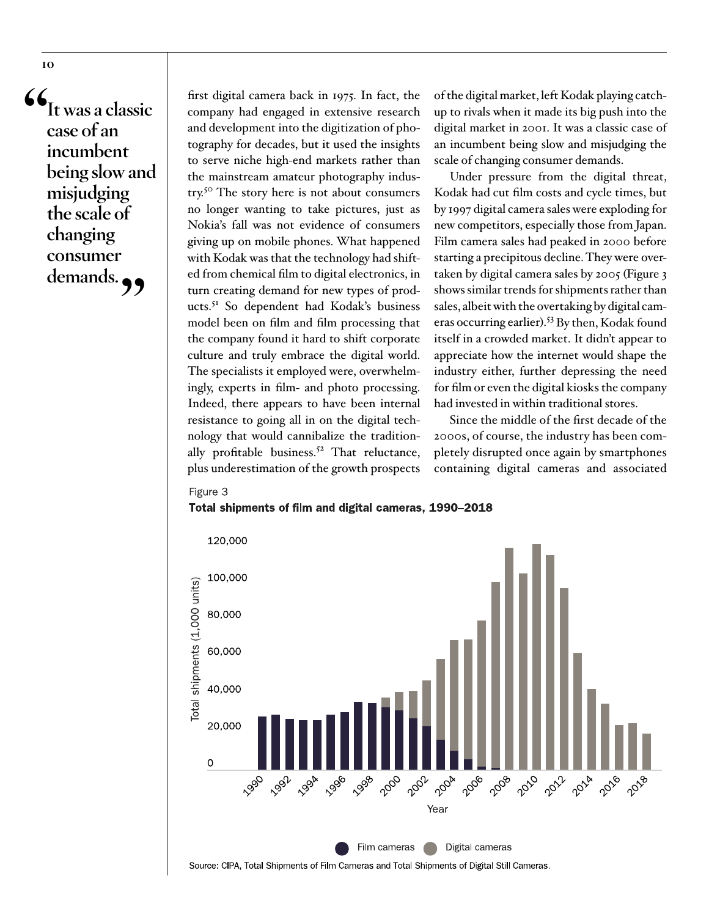**10**

**"It was a classic case of an incumbent being slow and misjudging the scale of changing consumer**  demands.

first digital camera back in 1975. In fact, the company had engaged in extensive research and development into the digitization of photography for decades, but it used the insights to serve niche high-end markets rather than the mainstream amateur photography industry.50 The story here is not about consumers no longer wanting to take pictures, just as Nokia's fall was not evidence of consumers giving up on mobile phones. What happened with Kodak was that the technology had shifted from chemical film to digital electronics, in turn creating demand for new types of products.51 So dependent had Kodak's business model been on film and film processing that the company found it hard to shift corporate culture and truly embrace the digital world. The specialists it employed were, overwhelmingly, experts in film- and photo processing. Indeed, there appears to have been internal resistance to going all in on the digital technology that would cannibalize the traditionally profitable business.<sup>52</sup> That reluctance, plus underestimation of the growth prospects

of the digital market, left Kodak playing catchup to rivals when it made its big push into the digital market in 2001. It was a classic case of an incumbent being slow and misjudging the scale of changing consumer demands.

Under pressure from the digital threat, Kodak had cut film costs and cycle times, but by 1997 digital camera sales were exploding for new competitors, especially those from Japan. Film camera sales had peaked in 2000 before starting a precipitous decline. They were overtaken by digital camera sales by 2005 (Figure 3 shows similar trends for shipments rather than sales, albeit with the overtaking by digital cameras occurring earlier).53 By then, Kodak found itself in a crowded market. It didn't appear to appreciate how the internet would shape the industry either, further depressing the need for film or even the digital kiosks the company had invested in within traditional stores.

Since the middle of the first decade of the 2000s, of course, the industry has been completely disrupted once again by smartphones containing digital cameras and associated

#### Figure 3

#### Total shipments of film and digital cameras, 1990–2018

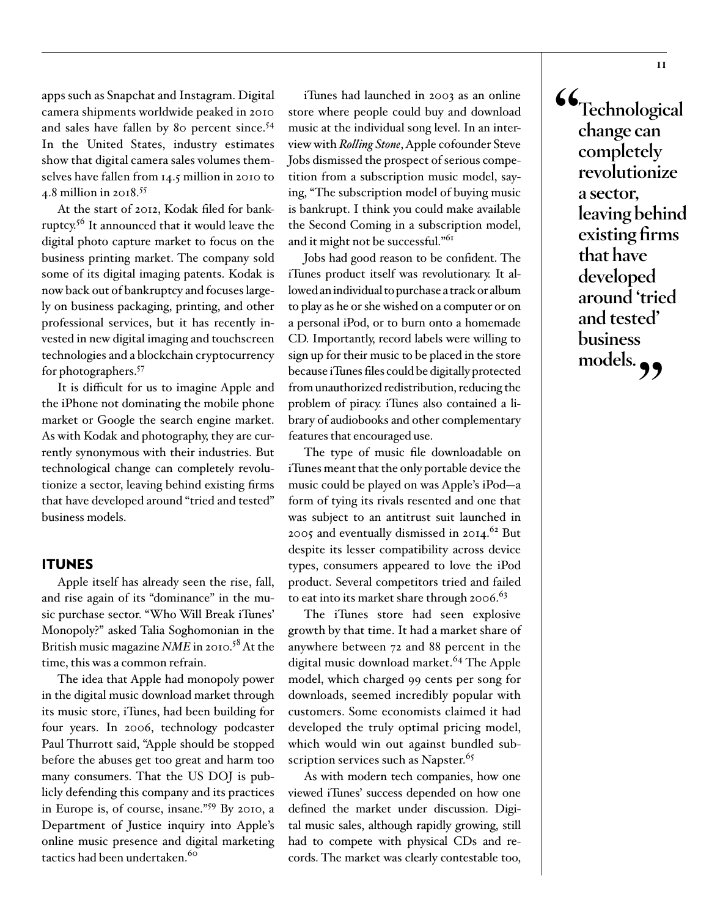apps such as Snapchat and Instagram. Digital camera shipments worldwide peaked in 2010 and sales have fallen by 80 percent since.<sup>54</sup> In the United States, industry estimates show that digital camera sales volumes themselves have fallen from 14.5 million in 2010 to 4.8 million in 2018.<sup>55</sup>

At the start of 2012, Kodak filed for bankruptcy.56 It announced that it would leave the digital photo capture market to focus on the business printing market. The company sold some of its digital imaging patents. Kodak is now back out of bankruptcy and focuses largely on business packaging, printing, and other professional services, but it has recently invested in new digital imaging and touchscreen technologies and a blockchain cryptocurrency for photographers.57

It is difficult for us to imagine Apple and the iPhone not dominating the mobile phone market or Google the search engine market. As with Kodak and photography, they are currently synonymous with their industries. But technological change can completely revolutionize a sector, leaving behind existing firms that have developed around "tried and tested" business models.

### ITUNES

Apple itself has already seen the rise, fall, and rise again of its "dominance" in the music purchase sector. "Who Will Break iTunes' Monopoly?" asked Talia Soghomonian in the British music magazine *NME* in 2010.58 At the time, this was a common refrain.

The idea that Apple had monopoly power in the digital music download market through its music store, iTunes, had been building for four years. In 2006, technology podcaster Paul Thurrott said, "Apple should be stopped before the abuses get too great and harm too many consumers. That the US DOJ is publicly defending this company and its practices in Europe is, of course, insane."59 By 2010, a Department of Justice inquiry into Apple's online music presence and digital marketing tactics had been undertaken.<sup>60</sup>

iTunes had launched in 2003 as an online store where people could buy and download music at the individual song level. In an interview with *Rolling Stone*, Apple cofounder Steve Jobs dismissed the prospect of serious competition from a subscription music model, saying, "The subscription model of buying music is bankrupt. I think you could make available the Second Coming in a subscription model, and it might not be successful."<sup>61</sup>

Jobs had good reason to be confident. The iTunes product itself was revolutionary. It allowed an individual to purchase a track or album to play as he or she wished on a computer or on a personal iPod, or to burn onto a homemade CD. Importantly, record labels were willing to sign up for their music to be placed in the store because iTunes files could be digitally protected from unauthorized redistribution, reducing the problem of piracy. iTunes also contained a library of audiobooks and other complementary features that encouraged use.

The type of music file downloadable on iTunes meant that the only portable device the music could be played on was Apple's iPod—a form of tying its rivals resented and one that was subject to an antitrust suit launched in 2005 and eventually dismissed in 2014.<sup>62</sup> But despite its lesser compatibility across device types, consumers appeared to love the iPod product. Several competitors tried and failed to eat into its market share through  $2006.^{63}$ 

The iTunes store had seen explosive growth by that time. It had a market share of anywhere between 72 and 88 percent in the digital music download market.<sup>64</sup> The Apple model, which charged 99 cents per song for downloads, seemed incredibly popular with customers. Some economists claimed it had developed the truly optimal pricing model, which would win out against bundled subscription services such as Napster.<sup>65</sup>

As with modern tech companies, how one viewed iTunes' success depended on how one defined the market under discussion. Digital music sales, although rapidly growing, still had to compete with physical CDs and records. The market was clearly contestable too, **"Technological change can completely revolutionize a sector, leaving behind existing firms that have developed around 'tried and tested' business**  models.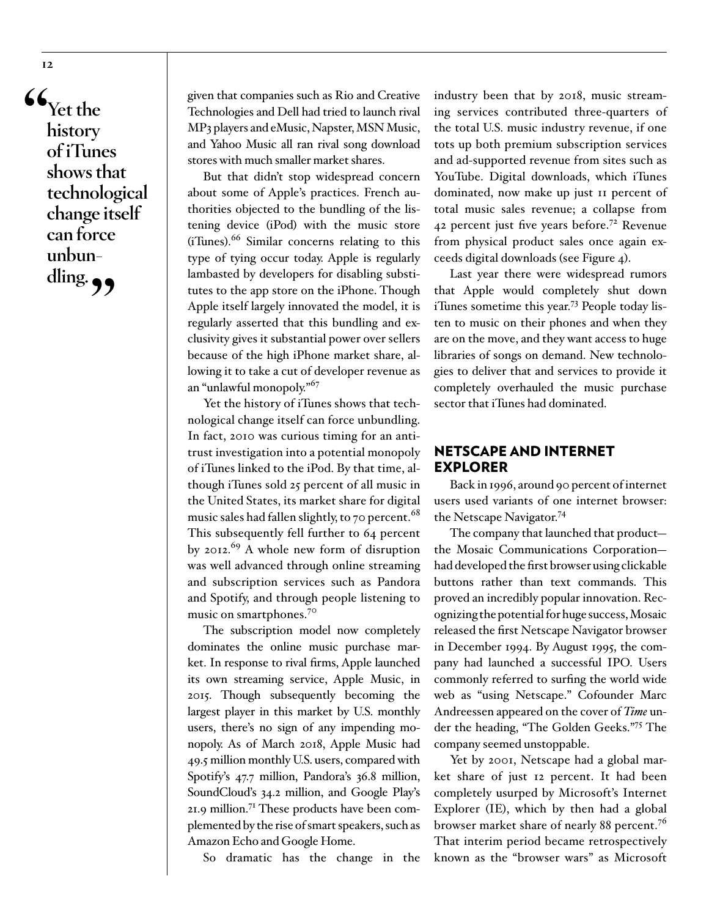**"Yet the history of iTunes shows that technological change itself can force unbundling."**

given that companies such as Rio and Creative Technologies and Dell had tried to launch rival MP3 players and eMusic, Napster, MSN Music, and Yahoo Music all ran rival song download stores with much smaller market shares.

But that didn't stop widespread concern about some of Apple's practices. French authorities objected to the bundling of the listening device (iPod) with the music store (iTunes).66 Similar concerns relating to this type of tying occur today. Apple is regularly lambasted by developers for disabling substitutes to the app store on the iPhone. Though Apple itself largely innovated the model, it is regularly asserted that this bundling and exclusivity gives it substantial power over sellers because of the high iPhone market share, allowing it to take a cut of developer revenue as an "unlawful monopoly."67

Yet the history of iTunes shows that technological change itself can force unbundling. In fact, 2010 was curious timing for an antitrust investigation into a potential monopoly of iTunes linked to the iPod. By that time, although iTunes sold 25 percent of all music in the United States, its market share for digital music sales had fallen slightly, to 70 percent. $^{68}$ This subsequently fell further to 64 percent by 2012.<sup>69</sup> A whole new form of disruption was well advanced through online streaming and subscription services such as Pandora and Spotify, and through people listening to music on smartphones.<sup>70</sup>

The subscription model now completely dominates the online music purchase market. In response to rival firms, Apple launched its own streaming service, Apple Music, in 2015. Though subsequently becoming the largest player in this market by U.S. monthly users, there's no sign of any impending monopoly. As of March 2018, Apple Music had 49.5 million monthly U.S. users, compared with Spotify's 47.7 million, Pandora's 36.8 million, SoundCloud's 34.2 million, and Google Play's 21.9 million.71 These products have been complemented by the rise of smart speakers, such as Amazon Echo and Google Home.

So dramatic has the change in the

industry been that by 2018, music streaming services contributed three-quarters of the total U.S. music industry revenue, if one tots up both premium subscription services and ad-supported revenue from sites such as YouTube. Digital downloads, which iTunes dominated, now make up just 11 percent of total music sales revenue; a collapse from 42 percent just five years before.<sup>72</sup> Revenue from physical product sales once again exceeds digital downloads (see Figure 4).

Last year there were widespread rumors that Apple would completely shut down iTunes sometime this year.73 People today listen to music on their phones and when they are on the move, and they want access to huge libraries of songs on demand. New technologies to deliver that and services to provide it completely overhauled the music purchase sector that iTunes had dominated.

# NETSCAPE AND INTERNET EXPLORER

Back in 1996, around 90 percent of internet users used variants of one internet browser: the Netscape Navigator.<sup>74</sup>

The company that launched that product the Mosaic Communications Corporation had developed the first browser using clickable buttons rather than text commands. This proved an incredibly popular innovation. Recognizing the potential for huge success, Mosaic released the first Netscape Navigator browser in December 1994. By August 1995, the company had launched a successful IPO. Users commonly referred to surfing the world wide web as "using Netscape." Cofounder Marc Andreessen appeared on the cover of *Time* under the heading, "The Golden Geeks."75 The company seemed unstoppable.

Yet by 2001, Netscape had a global market share of just 12 percent. It had been completely usurped by Microsoft's Internet Explorer (IE), which by then had a global browser market share of nearly 88 percent.<sup>76</sup> That interim period became retrospectively known as the "browser wars" as Microsoft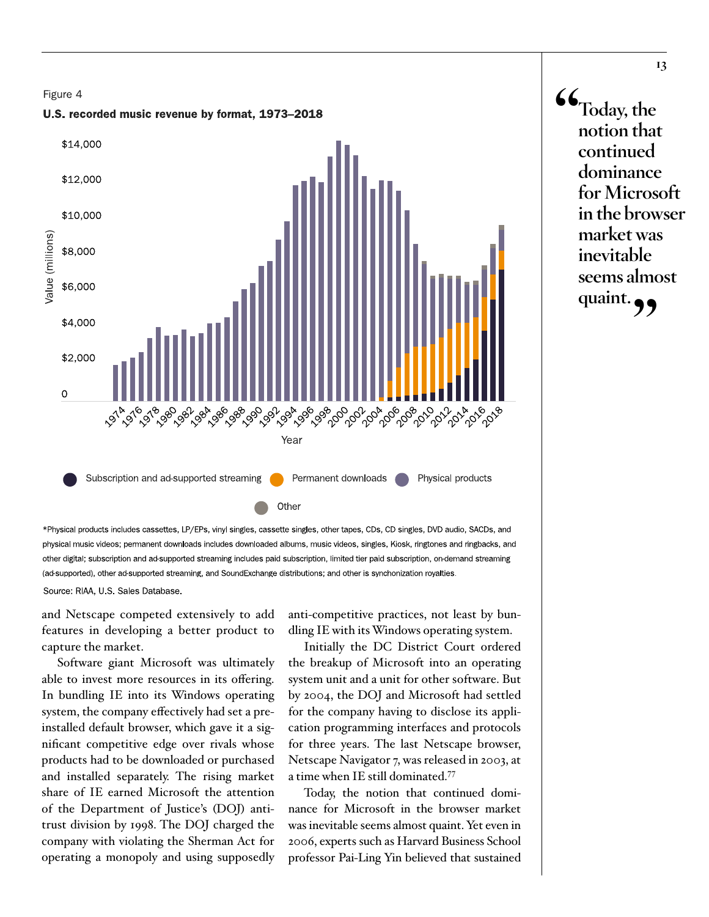

\*Physical products includes cassettes, LP/EPs, vinyl singles, cassette singles, other tapes, CDs, CD singles, DVD audio, SACDs, and physical music videos; permanent downloads includes downloaded albums, music videos, singles, Kiosk, ringtones and ringbacks, and other digital; subscription and ad-supported streaming includes paid subscription, limited tier paid subscription, on-demand streaming (ad-supported), other ad-supported streaming, and SoundExchange distributions; and other is synchonization royalties.

Source: RIAA, U.S. Sales Database.

and Netscape competed extensively to add features in developing a better product to capture the market.

Software giant Microsoft was ultimately able to invest more resources in its offering. In bundling IE into its Windows operating system, the company effectively had set a preinstalled default browser, which gave it a significant competitive edge over rivals whose products had to be downloaded or purchased and installed separately. The rising market share of IE earned Microsoft the attention of the Department of Justice's (DOJ) antitrust division by 1998. The DOJ charged the company with violating the Sherman Act for operating a monopoly and using supposedly

anti-competitive practices, not least by bundling IE with its Windows operating system.

Initially the DC District Court ordered the breakup of Microsoft into an operating system unit and a unit for other software. But by 2004, the DOJ and Microsoft had settled for the company having to disclose its application programming interfaces and protocols for three years. The last Netscape browser, Netscape Navigator 7, was released in 2003, at a time when IE still dominated.77

Today, the notion that continued dominance for Microsoft in the browser market was inevitable seems almost quaint. Yet even in 2006, experts such as Harvard Business School professor Pai-Ling Yin believed that sustained **"Today, the notion that continued dominance for Microsoft in the browser market was inevitable seems almost quaint."**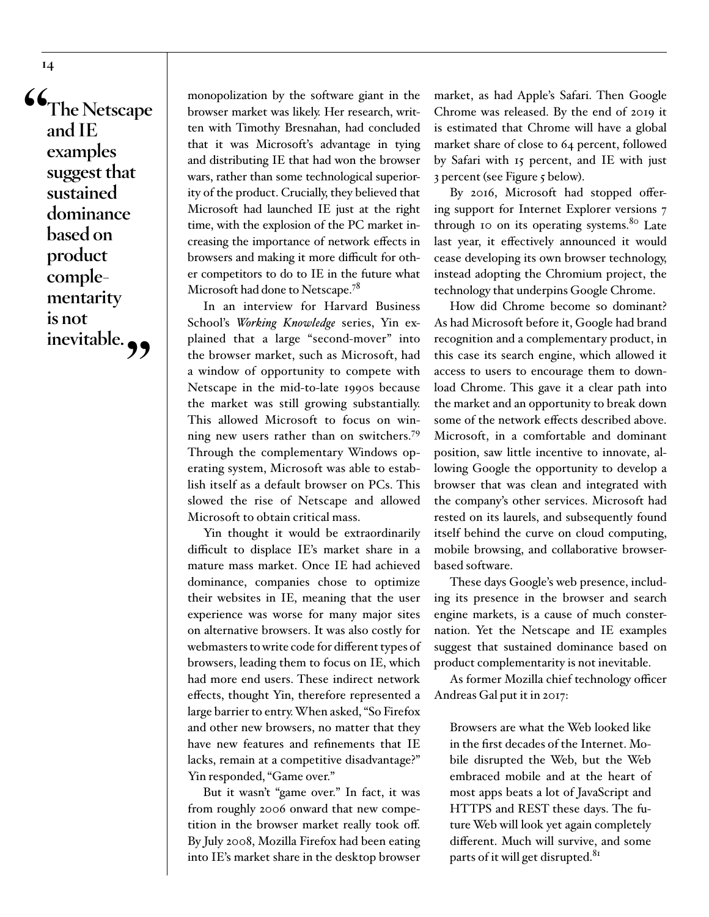**"The Netscape and IE examples suggest that sustained dominance based on product complementarity is not**  inevitable.

monopolization by the software giant in the browser market was likely. Her research, written with Timothy Bresnahan, had concluded that it was Microsoft's advantage in tying and distributing IE that had won the browser wars, rather than some technological superiority of the product. Crucially, they believed that Microsoft had launched IE just at the right time, with the explosion of the PC market increasing the importance of network effects in browsers and making it more difficult for other competitors to do to IE in the future what Microsoft had done to Netscape.78

In an interview for Harvard Business School's *Working Knowledge* series, Yin explained that a large "second-mover" into the browser market, such as Microsoft, had a window of opportunity to compete with Netscape in the mid-to-late 1990s because the market was still growing substantially. This allowed Microsoft to focus on winning new users rather than on switchers.<sup>79</sup> Through the complementary Windows operating system, Microsoft was able to establish itself as a default browser on PCs. This slowed the rise of Netscape and allowed Microsoft to obtain critical mass.

Yin thought it would be extraordinarily difficult to displace IE's market share in a mature mass market. Once IE had achieved dominance, companies chose to optimize their websites in IE, meaning that the user experience was worse for many major sites on alternative browsers. It was also costly for webmasters to write code for different types of browsers, leading them to focus on IE, which had more end users. These indirect network effects, thought Yin, therefore represented a large barrier to entry. When asked, "So Firefox and other new browsers, no matter that they have new features and refinements that IE lacks, remain at a competitive disadvantage?" Yin responded, "Game over."

But it wasn't "game over." In fact, it was from roughly 2006 onward that new competition in the browser market really took off. By July 2008, Mozilla Firefox had been eating into IE's market share in the desktop browser

market, as had Apple's Safari. Then Google Chrome was released. By the end of 2019 it is estimated that Chrome will have a global market share of close to 64 percent, followed by Safari with 15 percent, and IE with just 3 percent (see Figure 5 below).

By 2016, Microsoft had stopped offering support for Internet Explorer versions 7 through 10 on its operating systems. $80$  Late last year, it effectively announced it would cease developing its own browser technology, instead adopting the Chromium project, the technology that underpins Google Chrome.

How did Chrome become so dominant? As had Microsoft before it, Google had brand recognition and a complementary product, in this case its search engine, which allowed it access to users to encourage them to download Chrome. This gave it a clear path into the market and an opportunity to break down some of the network effects described above. Microsoft, in a comfortable and dominant position, saw little incentive to innovate, allowing Google the opportunity to develop a browser that was clean and integrated with the company's other services. Microsoft had rested on its laurels, and subsequently found itself behind the curve on cloud computing, mobile browsing, and collaborative browserbased software.

These days Google's web presence, including its presence in the browser and search engine markets, is a cause of much consternation. Yet the Netscape and IE examples suggest that sustained dominance based on product complementarity is not inevitable.

As former Mozilla chief technology officer Andreas Gal put it in 2017:

Browsers are what the Web looked like in the first decades of the Internet. Mobile disrupted the Web, but the Web embraced mobile and at the heart of most apps beats a lot of JavaScript and HTTPS and REST these days. The future Web will look yet again completely different. Much will survive, and some parts of it will get disrupted.<sup>81</sup>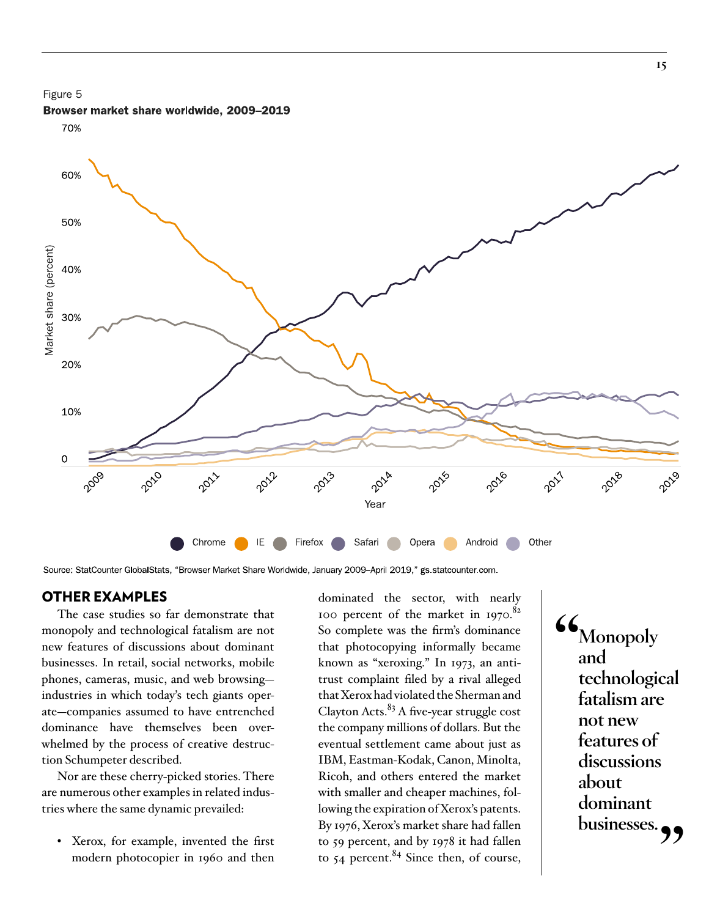



Browser market share worldwide, 2009–2019

Source: StatCounter GlobalStats, "Browser Market Share Worldwide, January 2009–April 2019," gs.statcounter.com.

# OTHER EXAMPLES

The case studies so far demonstrate that monopoly and technological fatalism are not new features of discussions about dominant businesses. In retail, social networks, mobile phones, cameras, music, and web browsing industries in which today's tech giants operate—companies assumed to have entrenched dominance have themselves been overwhelmed by the process of creative destruction Schumpeter described.

Nor are these cherry-picked stories. There are numerous other examples in related industries where the same dynamic prevailed:

• Xerox, for example, invented the first modern photocopier in 1960 and then

dominated the sector, with nearly 100 percent of the market in 1970.<sup>82</sup> So complete was the firm's dominance that photocopying informally became known as "xeroxing." In 1973, an antitrust complaint filed by a rival alleged that Xerox had violated the Sherman and Clayton Acts. $83$  A five-year struggle cost the company millions of dollars. But the eventual settlement came about just as IBM, Eastman-Kodak, Canon, Minolta, Ricoh, and others entered the market with smaller and cheaper machines, following the expiration of Xerox's patents. By 1976, Xerox's market share had fallen to 59 percent, and by 1978 it had fallen to  $54$  percent.<sup>84</sup> Since then, of course,

**"Monopoly and technological fatalism are not new features of discussions about dominant**  businesses.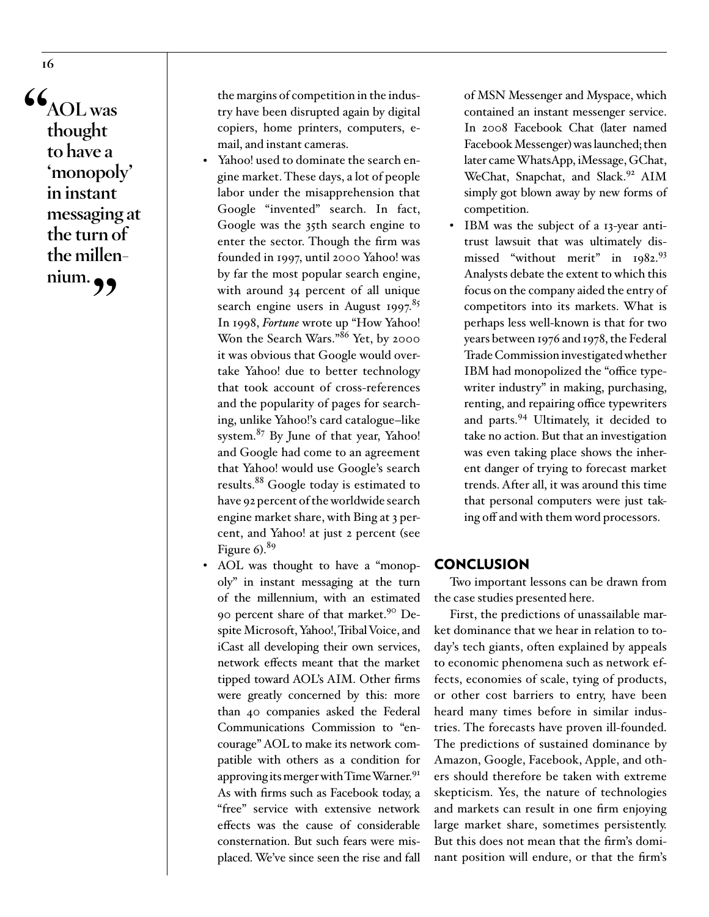**"AOL was thought to have a 'monopoly' in instant messaging at the turn of the millennium."**

the margins of competition in the industry have been disrupted again by digital copiers, home printers, computers, email, and instant cameras.

- Yahoo! used to dominate the search engine market. These days, a lot of people labor under the misapprehension that Google "invented" search. In fact, Google was the 35th search engine to enter the sector. Though the firm was founded in 1997, until 2000 Yahoo! was by far the most popular search engine, with around 34 percent of all unique search engine users in August 1997.<sup>85</sup> In 1998, *Fortune* wrote up "How Yahoo! Won the Search Wars."<sup>86</sup> Yet, by 2000 it was obvious that Google would overtake Yahoo! due to better technology that took account of cross-references and the popularity of pages for searching, unlike Yahoo!'s card catalogue–like system.<sup>87</sup> By June of that year, Yahoo! and Google had come to an agreement that Yahoo! would use Google's search results.<sup>88</sup> Google today is estimated to have 92 percent of the worldwide search engine market share, with Bing at 3 percent, and Yahoo! at just 2 percent (see Figure  $6$ .<sup>89</sup>
- AOL was thought to have a "monopoly" in instant messaging at the turn of the millennium, with an estimated 90 percent share of that market.<sup>90</sup> Despite Microsoft, Yahoo!, Tribal Voice, and iCast all developing their own services, network effects meant that the market tipped toward AOL's AIM. Other firms were greatly concerned by this: more than 40 companies asked the Federal Communications Commission to "encourage" AOL to make its network compatible with others as a condition for approving its merger with Time Warner.<sup>91</sup> As with firms such as Facebook today, a "free" service with extensive network effects was the cause of considerable consternation. But such fears were misplaced. We've since seen the rise and fall

of MSN Messenger and Myspace, which contained an instant messenger service. In 2008 Facebook Chat (later named Facebook Messenger) was launched; then later came WhatsApp, iMessage, GChat, WeChat, Snapchat, and Slack.<sup>92</sup> AIM simply got blown away by new forms of competition.

<sup>y</sup> IBM was the subject of a 13-year antitrust lawsuit that was ultimately dismissed "without merit" in 1982.93 Analysts debate the extent to which this focus on the company aided the entry of competitors into its markets. What is perhaps less well-known is that for two years between 1976 and 1978, the Federal Trade Commission investigated whether IBM had monopolized the "office typewriter industry" in making, purchasing, renting, and repairing office typewriters and parts.94 Ultimately, it decided to take no action. But that an investigation was even taking place shows the inherent danger of trying to forecast market trends. After all, it was around this time that personal computers were just taking off and with them word processors.

## **CONCLUSION**

Two important lessons can be drawn from the case studies presented here.

First, the predictions of unassailable market dominance that we hear in relation to today's tech giants, often explained by appeals to economic phenomena such as network effects, economies of scale, tying of products, or other cost barriers to entry, have been heard many times before in similar industries. The forecasts have proven ill-founded. The predictions of sustained dominance by Amazon, Google, Facebook, Apple, and others should therefore be taken with extreme skepticism. Yes, the nature of technologies and markets can result in one firm enjoying large market share, sometimes persistently. But this does not mean that the firm's dominant position will endure, or that the firm's

**16**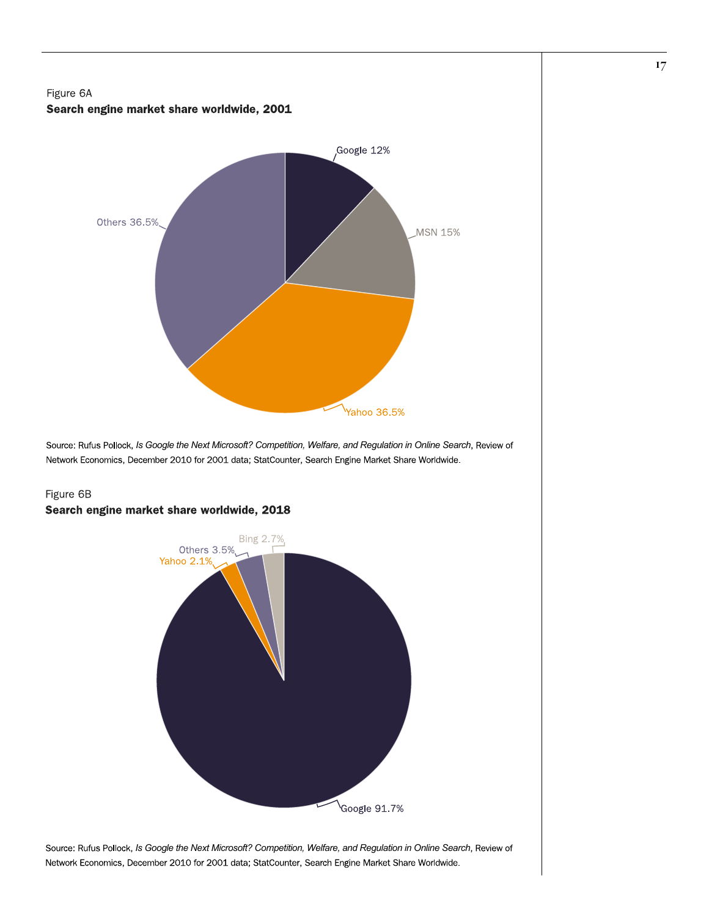



Source: Rufus Pollock, *Is Google the Next Microsoft? Competition, Welfare, and Regulation in Online Search*, Review of Network Economics, December 2010 for 2001 data; StatCounter, Search Engine Market Share Worldwide.

# Figure 6B Search engine market share worldwide, 2018



Source: Rufus Pollock, *Is Google the Next Microsoft? Competition, Welfare, and Regulation in Online Search*, Review of Network Economics, December 2010 for 2001 data; StatCounter, Search Engine Market Share Worldwide.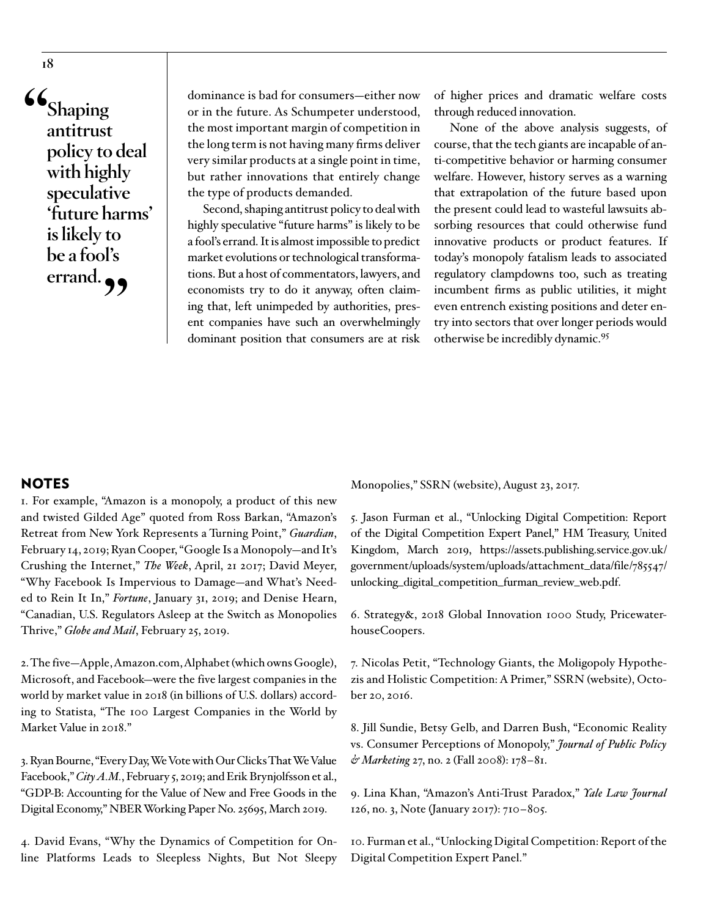**"Shaping antitrust policy to deal with highly speculative 'future harms' is likely to be a fool's**  errand.

dominance is bad for consumers—either now or in the future. As Schumpeter understood, the most important margin of competition in the long term is not having many firms deliver very similar products at a single point in time, but rather innovations that entirely change the type of products demanded.

Second, shaping antitrust policy to deal with highly speculative "future harms" is likely to be a fool's errand. It is almost impossible to predict market evolutions or technological transformations. But a host of commentators, lawyers, and economists try to do it anyway, often claiming that, left unimpeded by authorities, present companies have such an overwhelmingly dominant position that consumers are at risk

of higher prices and dramatic welfare costs through reduced innovation.

None of the above analysis suggests, of course, that the tech giants are incapable of anti-competitive behavior or harming consumer welfare. However, history serves as a warning that extrapolation of the future based upon the present could lead to wasteful lawsuits absorbing resources that could otherwise fund innovative products or product features. If today's monopoly fatalism leads to associated regulatory clampdowns too, such as treating incumbent firms as public utilities, it might even entrench existing positions and deter entry into sectors that over longer periods would otherwise be incredibly dynamic.95

# NOTES

1. For example, "Amazon is a monopoly, a product of this new and twisted Gilded Age" quoted from Ross Barkan, "Amazon's Retreat from New York Represents a Turning Point," *Guardian*, February 14, 2019; Ryan Cooper, "Google Is a Monopoly—and It's Crushing the Internet," *The Week*, April, 21 2017; David Meyer, "Why Facebook Is Impervious to Damage—and What's Needed to Rein It In," *Fortune*, January 31, 2019; and Denise Hearn, "Canadian, U.S. Regulators Asleep at the Switch as Monopolies Thrive," *Globe and Mail*, February 25, 2019.

2. The five—Apple, Amazon.com, Alphabet (which owns Google), Microsoft, and Facebook—were the five largest companies in the world by market value in 2018 (in billions of U.S. dollars) according to Statista, "The 100 Largest Companies in the World by Market Value in 2018."

3. Ryan Bourne, "Every Day, We Vote with Our Clicks That We Value Facebook," City A.M., February 5, 2019; and Erik Brynjolfsson et al., "GDP-B: Accounting for the Value of New and Free Goods in the Digital Economy," NBER Working Paper No. 25695, March 2019.

4. David Evans, "Why the Dynamics of Competition for Online Platforms Leads to Sleepless Nights, But Not Sleepy

Monopolies," SSRN (website), August 23, 2017.

5. Jason Furman et al., "Unlocking Digital Competition: Report of the Digital Competition Expert Panel," HM Treasury, United Kingdom, March 2019, [https://assets.publishing.service.gov.uk/](https://assets.publishing.service.gov.uk/government/uploads/system/uploads/attachment_data/file/785547/unlocking_digital_competition_furman_review_web.pdf) [government/uploads/system/uploads/attachment\\_data/file/785547/](https://assets.publishing.service.gov.uk/government/uploads/system/uploads/attachment_data/file/785547/unlocking_digital_competition_furman_review_web.pdf) [unlocking\\_digital\\_competition\\_furman\\_review\\_web.pdf.](https://assets.publishing.service.gov.uk/government/uploads/system/uploads/attachment_data/file/785547/unlocking_digital_competition_furman_review_web.pdf)

6. Strategy&, 2018 Global Innovation 1000 Study, PricewaterhouseCoopers.

7. Nicolas Petit, "Technology Giants, the Moligopoly Hypothezis and Holistic Competition: A Primer," SSRN (website), October 20, 2016.

8. Jill Sundie, Betsy Gelb, and Darren Bush, "Economic Reality vs. Consumer Perceptions of Monopoly," *Journal of Public Policy & Marketing* 27, no. 2 (Fall 2008): 178–81.

9. Lina Khan, "Amazon's Anti-Trust Paradox," *Yale Law Journal* 126, no. 3, Note (January 2017): 710–805.

10. Furman et al., "Unlocking Digital Competition: Report of the Digital Competition Expert Panel."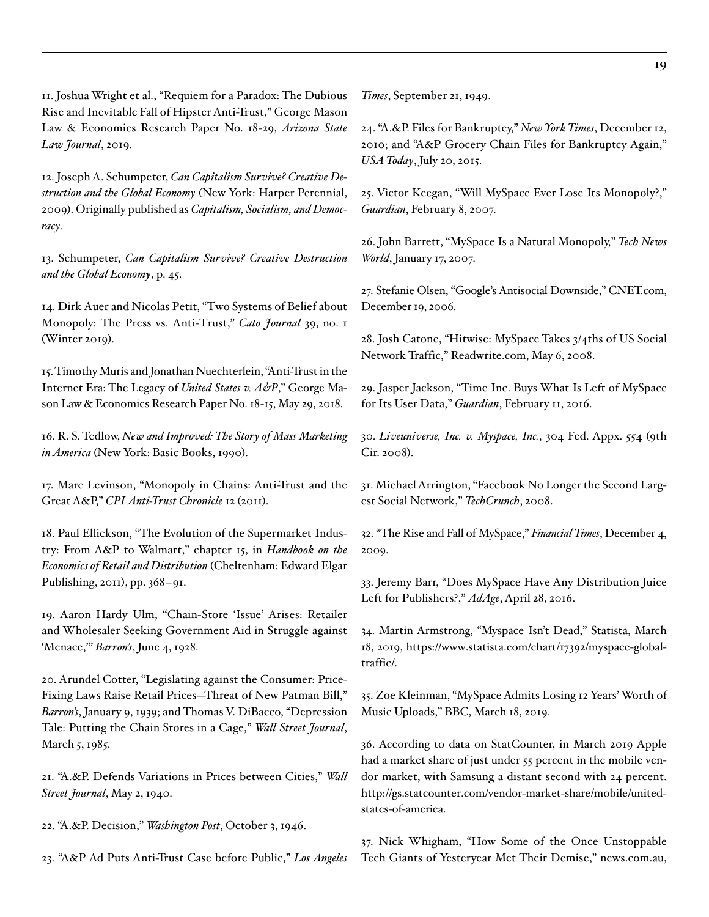11. Joshua Wright et al., "Requiem for a Paradox: The Dubious Rise and Inevitable Fall of Hipster Anti-Trust," George Mason Law & Economics Research Paper No. 18-29, *Arizona State Law Journal*, 2019.

12. Joseph A. Schumpeter, *Can Capitalism Survive? Creative Destruction and the Global Economy* (New York: Harper Perennial, 2009). Originally published as *Capitalism, Socialism, and Democracy*.

13. Schumpeter, *Can Capitalism Survive? Creative Destruction and the Global Economy*, p. 45.

14. [Dirk Auer and Nicolas Petit, "Two Systems of Belief about](https://www.cato.org/cato-journal/winter-2019/two-systems-belief-about-monopoly-press-vs-antitrust) [Monopoly: The Press vs. Anti-Trust,"](https://www.cato.org/cato-journal/winter-2019/two-systems-belief-about-monopoly-press-vs-antitrust) *Cato Journal* 39, no. 1 [\(Winter 2019\).](https://www.cato.org/cato-journal/winter-2019/two-systems-belief-about-monopoly-press-vs-antitrust)

15. Timothy Muris and Jonathan Nuechterlein, "Anti-Trust in the Internet Era: The Legacy of *United States v. A&P*," George Mason Law & Economics Research Paper No. 18-15, May 29, 2018.

16. R. S. Tedlow, *New and Improved: The Story of Mass Marketing in America* (New York: Basic Books, 1990).

17. Marc Levinson, "Monopoly in Chains: Anti-Trust and the Great A&P," *CPI Anti-Trust Chronicle* 12 (2011).

18. Paul Ellickson, "The Evolution of the Supermarket Industry: From A&P to Walmart," chapter 15, in *Handbook on the Economics of Retail and Distribution* (Cheltenham: Edward Elgar Publishing, 2011), pp. 368–91.

19. Aaron Hardy Ulm, "Chain-Store 'Issue' Arises: Retailer and Wholesaler Seeking Government Aid in Struggle against 'Menace," *Barron's*, June 4, 1928.

20. Arundel Cotter, "Legislating against the Consumer: Price-Fixing Laws Raise Retail Prices—Threat of New Patman Bill," *Barron's*, January 9, 1939; and Thomas V. DiBacco, "Depression Tale: Putting the Chain Stores in a Cage," *Wall Street Journal*, March 5, 1985.

21. "A.&P. Defends Variations in Prices between Cities," *Wall Street Journal*, May 2, 1940.

22. "A.&P. Decision," *Washington Post*, October 3, 1946.

23. "A&P Ad Puts Anti-Trust Case before Public," *Los Angeles* 

*Times*, September 21, 1949.

24. "A.&P. Files for Bankruptcy," *New York Times*, December 12, 2010; and "A&P Grocery Chain Files for Bankruptcy Again," *USA Today*, July 20, 2015.

25. Victor Keegan, "Will MySpace Ever Lose Its Monopoly?," *Guardian*, February 8, 2007.

26. John Barrett, "MySpace Is a Natural Monopoly," *Tech News World*, January 17, 2007.

27. Stefanie Olsen, "Google's Antisocial Downside," CNET.com, December 19, 2006.

28. Josh Catone, "Hitwise: MySpace Takes 3/4ths of US Social Network Traffic," Readwrite.com, May 6, 2008.

29. Jasper Jackson, "Time Inc. Buys What Is Left of MySpace for Its User Data," *Guardian*, February 11, 2016.

30. *Liveuniverse, Inc. v. Myspace, Inc.*, 304 Fed. Appx. 554 (9th Cir. 2008).

31. Michael Arrington, "Facebook No Longer the Second Largest Social Network," *TechCrunch*, 2008.

32. "The Rise and Fall of MySpace," *Financial Times*, December 4, 2009.

33. Jeremy Barr, "Does MySpace Have Any Distribution Juice Left for Publishers?," *AdAge*, April 28, 2016.

34. Martin Armstrong, "Myspace Isn't Dead," Statista, March 18, 2019, [https://www.statista.com/chart/17392/myspace-global](https://www.statista.com/chart/17392/myspace-global-traffic/)[traffic/.](https://www.statista.com/chart/17392/myspace-global-traffic/)

35. Zoe Kleinman, "MySpace Admits Losing 12 Years' Worth of Music Uploads," BBC, March 18, 2019.

36. According to data on StatCounter, in March 2019 Apple had a market share of just under 55 percent in the mobile vendor market, with Samsung a distant second with 24 percent. [http://gs.statcounter.com/vendor-market-share/mobile/united](http://gs.statcounter.com/vendor-market-share/mobile/united-states-of-america)[states-of-america.](http://gs.statcounter.com/vendor-market-share/mobile/united-states-of-america)

37. Nick Whigham, "How Some of the Once Unstoppable Tech Giants of Yesteryear Met Their Demise," news.com.au,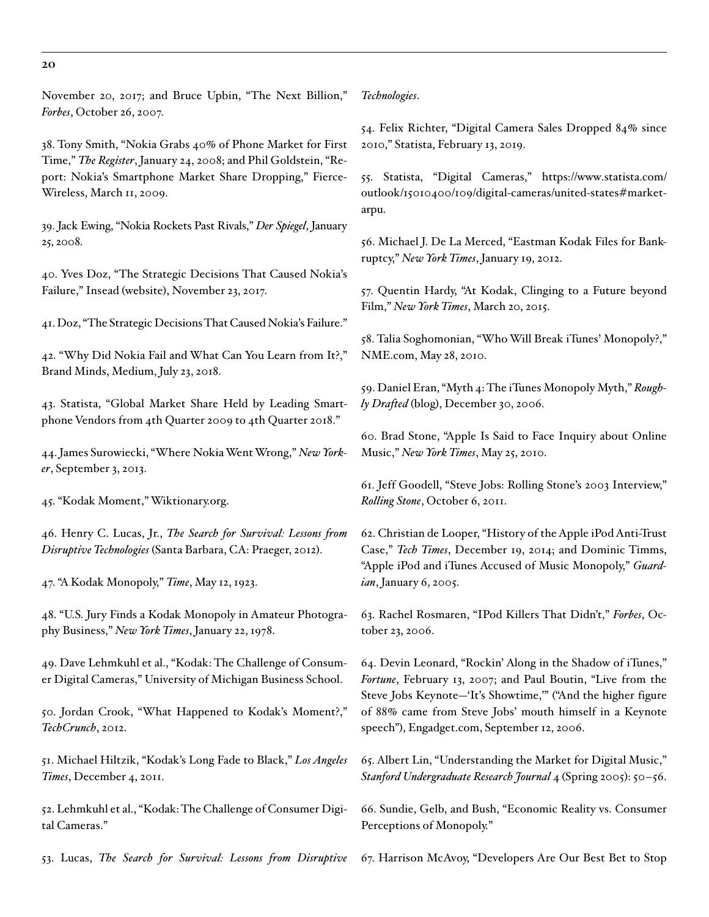November 20, 2017; and Bruce Upbin, "The Next Billion," *Forbes*, October 26, 2007.

38. Tony Smith, "Nokia Grabs 40% of Phone Market for First Time," *The Register*, January 24, 2008; and Phil Goldstein, "Report: Nokia's Smartphone Market Share Dropping," Fierce-Wireless, March 11, 2009.

39. Jack Ewing, "Nokia Rockets Past Rivals," *Der Spiegel*, January 25, 2008.

40. Yves Doz, "The Strategic Decisions That Caused Nokia's Failure," Insead (website), November 23, 2017.

41. Doz, "The Strategic Decisions That Caused Nokia's Failure."

42. "Why Did Nokia Fail and What Can You Learn from It?," Brand Minds, Medium, July 23, 2018.

43. Statista, "Global Market Share Held by Leading Smartphone Vendors from 4th Quarter 2009 to 4th Quarter 2018."

44. James Surowiecki, "Where Nokia Went Wrong," *New Yorker*, September 3, 2013.

45. "Kodak Moment," Wiktionary.org.

46. Henry C. Lucas, Jr., *The Search for Survival: Lessons from Disruptive Technologies* (Santa Barbara, CA: Praeger, 2012).

47. "A Kodak Monopoly," *Time*, May 12, 1923.

48. "U.S. Jury Finds a Kodak Monopoly in Amateur Photography Business," *New York Times*, January 22, 1978.

49. Dave Lehmkuhl et al., "Kodak: The Challenge of Consumer Digital Cameras," University of Michigan Business School.

50. Jordan Crook, "What Happened to Kodak's Moment?," *TechCrunch*, 2012.

51. Michael Hiltzik, "Kodak's Long Fade to Black," *Los Angeles Times*, December 4, 2011.

52. Lehmkuhl et al., "Kodak: The Challenge of Consumer Digital Cameras."

53. Lucas, *The Search for Survival: Lessons from Disruptive* 

*Technologies*.

54. Felix Richter, "Digital Camera Sales Dropped 84% since 2010," Statista, February 13, 2019.

55. Statista, "Digital Cameras," [https://www.statista.com/](https://www.statista.com/outlook/15010400/109/digital-cameras/united-states#market-arpu) [outlook/15010400/109/digital-cameras/united-states#market](https://www.statista.com/outlook/15010400/109/digital-cameras/united-states#market-arpu)[arpu.](https://www.statista.com/outlook/15010400/109/digital-cameras/united-states#market-arpu)

56. Michael J. De La Merced, "Eastman Kodak Files for Bankruptcy," *New York Times*, January 19, 2012.

57. Quentin Hardy, "At Kodak, Clinging to a Future beyond Film," *New York Times*, March 20, 2015.

58. Talia Soghomonian, "Who Will Break iTunes' Monopoly?," NME.com, May 28, 2010.

59. Daniel Eran, "Myth 4: The iTunes Monopoly Myth," *Roughly Drafted* (blog), December 30, 2006.

60. Brad Stone, "Apple Is Said to Face Inquiry about Online Music," *New York Times*, May 25, 2010.

61. Jeff Goodell, "Steve Jobs: Rolling Stone's 2003 Interview," *Rolling Stone*, October 6, 2011.

62. Christian de Looper, "History of the Apple iPod Anti-Trust Case," *Tech Times*, December 19, 2014; and Dominic Timms, "Apple iPod and iTunes Accused of Music Monopoly," *Guardian*, January 6, 2005.

63. Rachel Rosmaren, "IPod Killers That Didn't," *Forbes*, October 23, 2006.

64. Devin Leonard, "Rockin' Along in the Shadow of iTunes," *Fortune*, February 13, 2007; and Paul Boutin, "Live from the Steve Jobs Keynote—'It's Showtime,'" ("And the higher figure of 88% came from Steve Jobs' mouth himself in a Keynote speech"), Engadget.com, September 12, 2006.

65. Albert Lin, "Understanding the Market for Digital Music," *Stanford Undergraduate Research Journal* 4 (Spring 2005): 50–56.

66. Sundie, Gelb, and Bush, "Economic Reality vs. Consumer Perceptions of Monopoly."

67. Harrison McAvoy, "Developers Are Our Best Bet to Stop

**20**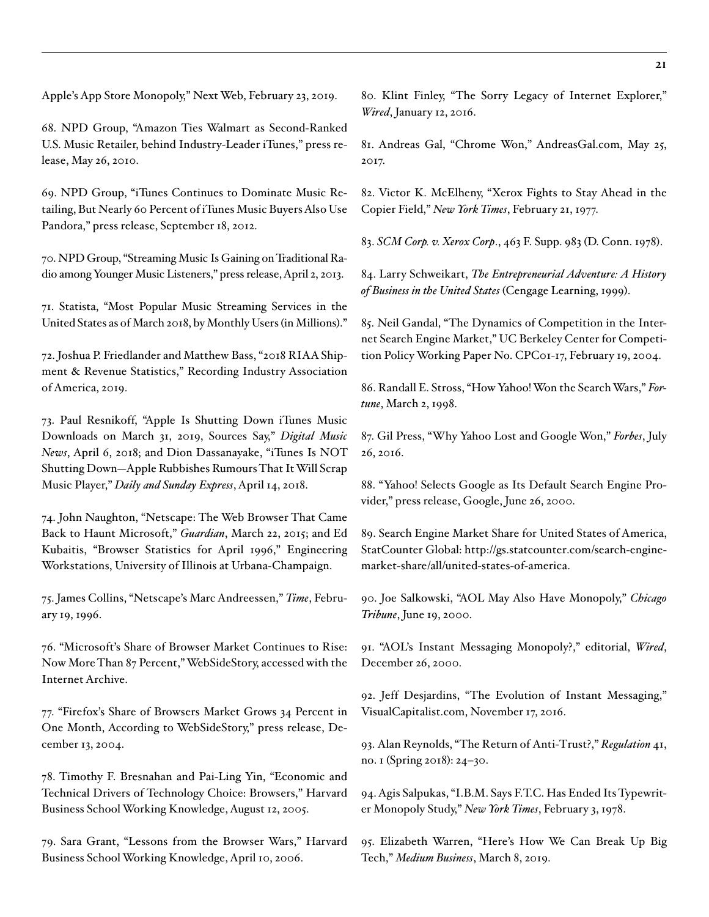Apple's App Store Monopoly," Next Web, February 23, 2019.

68. NPD Group, "Amazon Ties Walmart as Second-Ranked U.S. Music Retailer, behind Industry-Leader iTunes," press release, May 26, 2010.

69. NPD Group, "iTunes Continues to Dominate Music Retailing, But Nearly 60 Percent of iTunes Music Buyers Also Use Pandora," press release, September 18, 2012.

70. NPD Group, "Streaming Music Is Gaining on Traditional Radio among Younger Music Listeners," press release, April 2, 2013.

71. Statista, "Most Popular Music Streaming Services in the United States as of March 2018, by Monthly Users (in Millions)."

72. Joshua P. Friedlander and Matthew Bass, "2018 RIAA Shipment & Revenue Statistics," Recording Industry Association of America, 2019.

73. Paul Resnikoff, "Apple Is Shutting Down iTunes Music Downloads on March 31, 2019, Sources Say," *Digital Music News*, April 6, 2018; and Dion Dassanayake, "iTunes Is NOT Shutting Down—Apple Rubbishes Rumours That It Will Scrap Music Player," *Daily and Sunday Express*, April 14, 2018.

74. John Naughton, "Netscape: The Web Browser That Came Back to Haunt Microsoft," *Guardian*, March 22, 2015; and Ed Kubaitis, "Browser Statistics for April 1996," Engineering Workstations, University of Illinois at Urbana-Champaign.

75. James Collins, "Netscape's Marc Andreessen," *Time*, February 19, 1996.

76. "Microsoft's Share of Browser Market Continues to Rise: Now More Than 87 Percent," WebSideStory, accessed with the Internet Archive.

77. "Firefox's Share of Browsers Market Grows 34 Percent in One Month, According to WebSideStory," press release, December 13, 2004.

78. Timothy F. Bresnahan and Pai-Ling Yin, "Economic and Technical Drivers of Technology Choice: Browsers," Harvard Business School Working Knowledge, August 12, 2005.

79. Sara Grant, "Lessons from the Browser Wars," Harvard Business School Working Knowledge, April 10, 2006.

80. Klint Finley, "The Sorry Legacy of Internet Explorer," *Wired*, January 12, 2016.

81. Andreas Gal, "Chrome Won," AndreasGal.com, May 25, 2017.

82. Victor K. McElheny, "Xerox Fights to Stay Ahead in the Copier Field," *New York Times*, February 21, 1977.

83. *SCM Corp. v. Xerox Corp*., 463 F. Supp. 983 (D. Conn. 1978).

84. Larry Schweikart, *The Entrepreneurial Adventure: A History of Business in the United States* (Cengage Learning, 1999).

85. Neil Gandal, "The Dynamics of Competition in the Internet Search Engine Market," UC Berkeley Center for Competition Policy Working Paper No. CPC01-17, February 19, 2004.

86. Randall E. Stross, "How Yahoo! Won the Search Wars," *Fortune*, March 2, 1998.

87. Gil Press, "Why Yahoo Lost and Google Won," *Forbes*, July 26, 2016.

88. "Yahoo! Selects Google as Its Default Search Engine Provider," press release, Google, June 26, 2000.

89. Search Engine Market Share for United States of America, StatCounter Global: [http://gs.statcounter.com/search-engine](http://gs.statcounter.com/search-engine-market-share/all/united-states-of-america)[market-share/all/united-states-of-america](http://gs.statcounter.com/search-engine-market-share/all/united-states-of-america).

90. Joe Salkowski, "AOL May Also Have Monopoly," *Chicago Tribune*, June 19, 2000.

91. "AOL's Instant Messaging Monopoly?," editorial, *Wired*, December 26, 2000.

92. Jeff Desjardins, "The Evolution of Instant Messaging," VisualCapitalist.com, November 17, 2016.

93. [Alan Reynolds, "The Return of Anti-Trust?,"](https://object.cato.org/sites/cato.org/files/serials/files/regulation/2018/3/regulation-v41n1-8-updated.pdf) *Regulation* 41, [no. 1 \(Spring 2018\): 24–30.](https://object.cato.org/sites/cato.org/files/serials/files/regulation/2018/3/regulation-v41n1-8-updated.pdf)

94. Agis Salpukas, "I.B.M. Says F.T.C. Has Ended Its Typewriter Monopoly Study," *New York Times*, February 3, 1978.

95. Elizabeth Warren, "Here's How We Can Break Up Big Tech," *Medium Business*, March 8, 2019.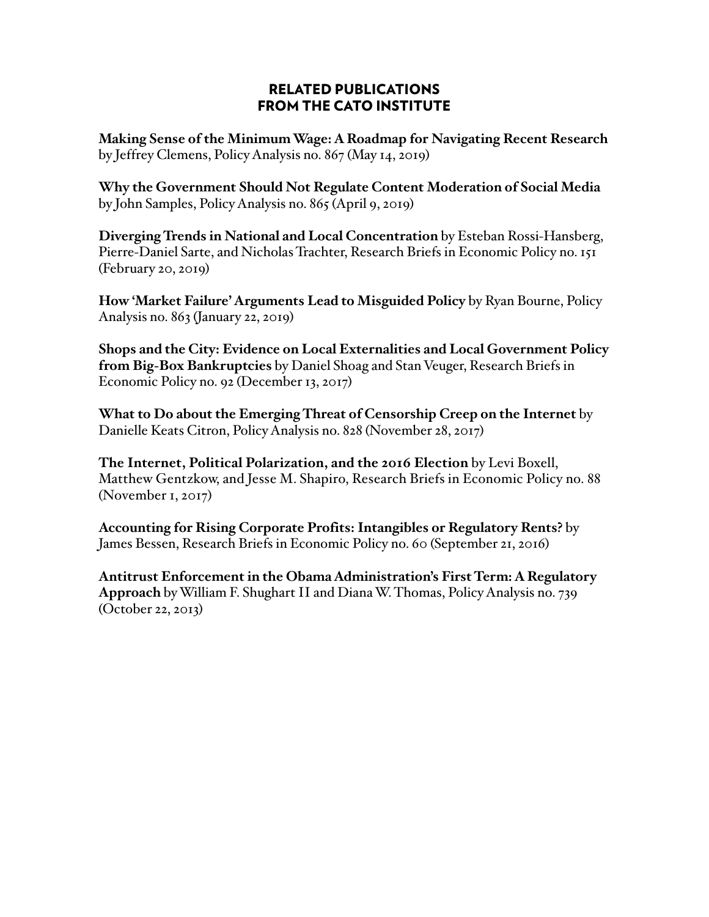# RELATED PUBLICATIONS FROM THE CATO INSTITUTE

**Making Sense of the Minimum Wage: A Roadmap for Navigating Recent Research** by Jeffrey Clemens, Policy Analysis no. 867 (May 14, 2019)

**Why the Government Should Not Regulate Content Moderation of Social Media** by John Samples, Policy Analysis no. 865 (April 9, 2019)

**Diverging Trends in National and Local Concentration** by Esteban Rossi-Hansberg, Pierre-Daniel Sarte, and Nicholas Trachter, Research Briefs in Economic Policy no. 151 (February 20, 2019)

**How 'Market Failure' Arguments Lead to Misguided Policy** by Ryan Bourne, Policy Analysis no. 863 (January 22, 2019)

**Shops and the City: Evidence on Local Externalities and Local Government Policy from Big-Box Bankruptcies** by Daniel Shoag and Stan Veuger, Research Briefs in Economic Policy no. 92 (December 13, 2017)

**What to Do about the Emerging Threat of Censorship Creep on the Internet** by Danielle Keats Citron, Policy Analysis no. 828 (November 28, 2017)

**The Internet, Political Polarization, and the 2016 Election** by Levi Boxell, Matthew Gentzkow, and Jesse M. Shapiro, Research Briefs in Economic Policy no. 88 (November 1, 2017)

**Accounting for Rising Corporate Profits: Intangibles or Regulatory Rents?** by James Bessen, Research Briefs in Economic Policy no. 60 (September 21, 2016)

**Antitrust Enforcement in the Obama Administration's First Term: A Regulatory Approach** by William F. Shughart II and Diana W. Thomas, Policy Analysis no. 739 (October 22, 2013)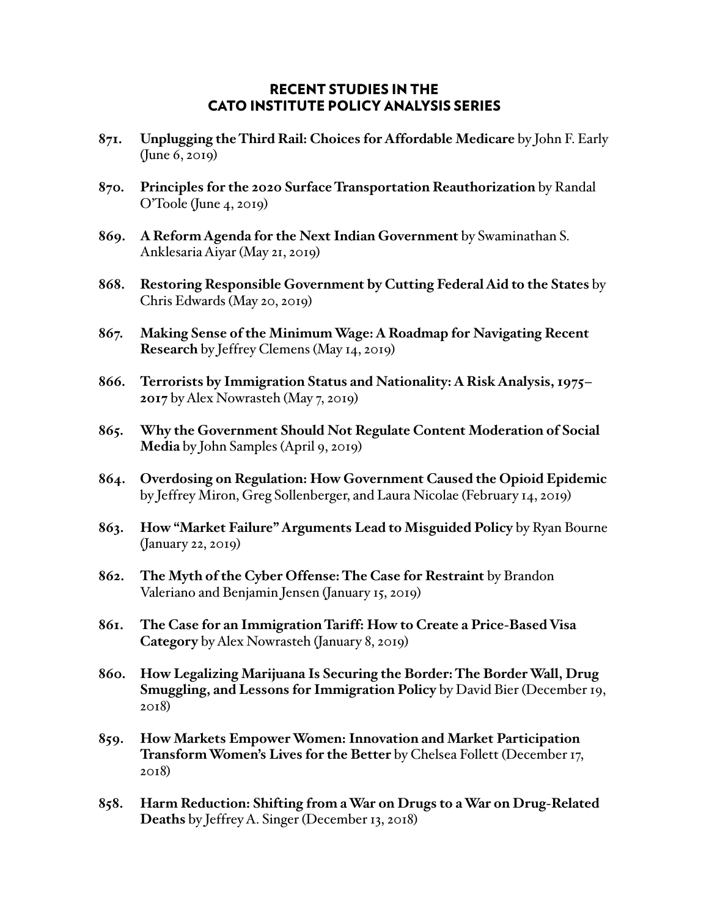# RECENT STUDIES IN THE CATO INSTITUTE POLICY ANALYSIS SERIES

- **871. Unplugging the Third Rail: Choices for Affordable Medicare** by John F. Early (June 6, 2019)
- **870. Principles for the 2020 Surface Transportation Reauthorization** by Randal O'Toole (June 4, 2019)
- **869. A Reform Agenda for the Next Indian Government** by Swaminathan S. Anklesaria Aiyar (May 21, 2019)
- **868. Restoring Responsible Government by Cutting Federal Aid to the States** by Chris Edwards (May 20, 2019)
- **867. Making Sense of the Minimum Wage: A Roadmap for Navigating Recent Research** by Jeffrey Clemens (May 14, 2019)
- **866. Terrorists by Immigration Status and Nationality: A Risk Analysis, 1975– 2017** by Alex Nowrasteh (May 7, 2019)
- **865. Why the Government Should Not Regulate Content Moderation of Social Media** by John Samples (April 9, 2019)
- **864. Overdosing on Regulation: How Government Caused the Opioid Epidemic** by Jeffrey Miron, Greg Sollenberger, and Laura Nicolae (February 14, 2019)
- **863. How "Market Failure" Arguments Lead to Misguided Policy** by Ryan Bourne (January 22, 2019)
- **862. The Myth of the Cyber Offense: The Case for Restraint** by Brandon Valeriano and Benjamin Jensen (January 15, 2019)
- **861. The Case for an Immigration Tariff: How to Create a Price-Based Visa Category** by Alex Nowrasteh (January 8, 2019)
- **860. How Legalizing Marijuana Is Securing the Border: The Border Wall, Drug Smuggling, and Lessons for Immigration Policy** by David Bier (December 19, 2018)
- **859. How Markets Empower Women: Innovation and Market Participation Transform Women's Lives for the Better** by Chelsea Follett (December 17, 2018)
- **858. Harm Reduction: Shifting from a War on Drugs to a War on Drug-Related Deaths** by Jeffrey A. Singer (December 13, 2018)